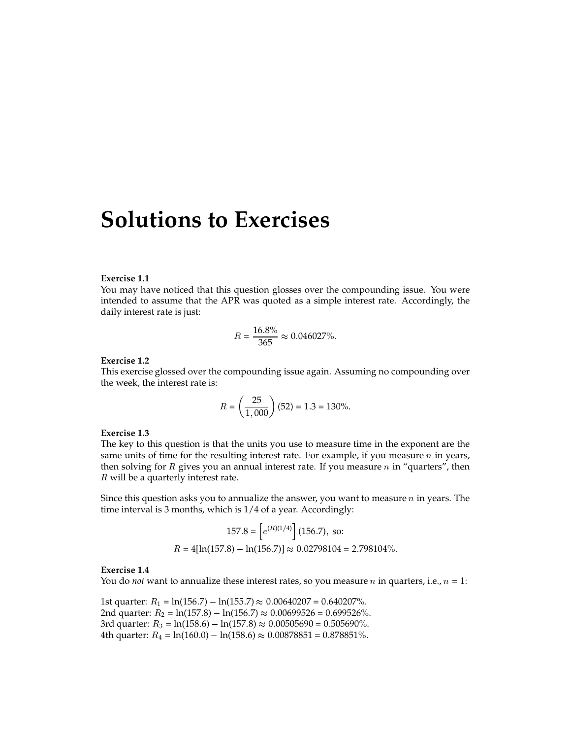# **Solutions to Exercises**

### **Exercise 1.1**

You may have noticed that this question glosses over the compounding issue. You were intended to assume that the APR was quoted as a simple interest rate. Accordingly, the daily interest rate is just:

$$
R = \frac{16.8\%}{365} \approx 0.046027\%.
$$

### **Exercise 1.2**

This exercise glossed over the compounding issue again. Assuming no compounding over the week, the interest rate is:

$$
R = \left(\frac{25}{1,000}\right)(52) = 1.3 = 130\%.
$$

## **Exercise 1.3**

The key to this question is that the units you use to measure time in the exponent are the same units of time for the resulting interest rate. For example, if you measure  $n$  in years, then solving for  $R$  gives you an annual interest rate. If you measure  $n$  in "quarters", then  $R$  will be a quarterly interest rate.

Since this question asks you to annualize the answer, you want to measure  $n$  in years. The time interval is 3 months, which is 1/4 of a year. Accordingly:

$$
157.8 = \left[e^{(R)(1/4)}\right] (156.7), \text{ so:}
$$
  

$$
R = 4[\ln(157.8) - \ln(156.7)] \approx 0.02798104 = 2.798104\%.
$$

# **Exercise 1.4**

You do *not* want to annualize these interest rates, so you measure *n* in quarters, i.e.,  $n = 1$ :

1st quarter:  $R_1 = \ln(156.7) - \ln(155.7) \approx 0.00640207 = 0.640207\%$ . 2nd quarter:  $R_2 = \ln(157.8) - \ln(156.7) \approx 0.00699526 = 0.699526\%$ . 3rd quarter:  $R_3 = \ln(158.6) - \ln(157.8) \approx 0.00505690 = 0.505690\%$ . 4th quarter:  $R_4 = \ln(160.0) - \ln(158.6) \approx 0.00878851 = 0.878851\%.$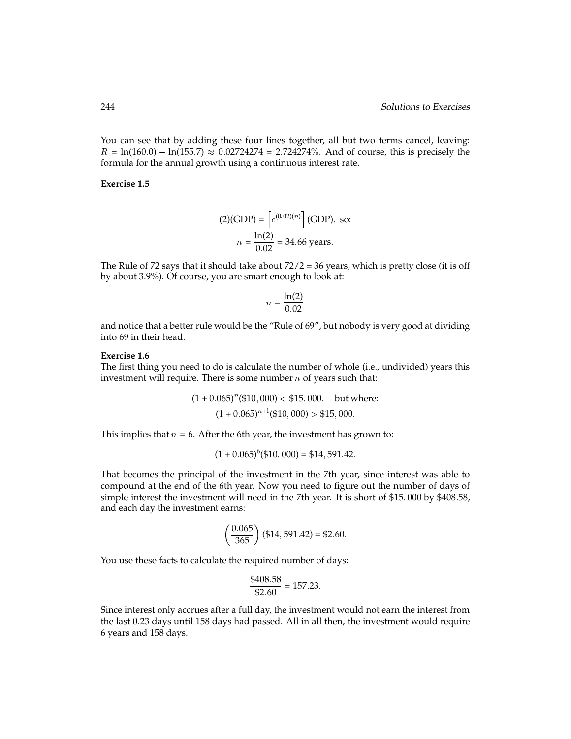You can see that by adding these four lines together, all but two terms cancel, leaving:  $R = \ln(160.0) - \ln(155.7) \approx 0.02724274 = 2.724274\%$ . And of course, this is precisely the formula for the annual growth using a continuous interest rate.

# **Exercise 1.5**

$$
(2)(GDP) = [e^{(0.02)(n)}] (GDP), \text{ so:}
$$

$$
n = \frac{\ln(2)}{0.02} = 34.66 \text{ years.}
$$

The Rule of 72 says that it should take about  $72/2 = 36$  years, which is pretty close (it is off by about 3.9%). Of course, you are smart enough to look at:

$$
n = \frac{\ln(2)}{0.02}
$$

and notice that a better rule would be the "Rule of 69", but nobody is very good at dividing into 69 in their head.

### **Exercise 1.6**

The first thing you need to do is calculate the number of whole (i.e., undivided) years this investment will require. There is some number  $n$  of years such that:

$$
(1 + 0.065)^n (\$10,000) < \$15,000, \quad \text{but where:} \\ (1 + 0.065)^{n+1} (\$10,000) > \$15,000.
$$

This implies that  $n = 6$ . After the 6th year, the investment has grown to:

$$
(1+0.065)^6(\$10,000) = \$14,591.42.
$$

That becomes the principal of the investment in the 7th year, since interest was able to compound at the end of the 6th year. Now you need to figure out the number of days of simple interest the investment will need in the 7th year. It is short of \$15; 000 by \$408:58, and each day the investment earns:

$$
\left(\frac{0.065}{365}\right) \text{ ($}14,591.42\text{)} = \$2.60.
$$

You use these facts to calculate the required number of days:

$$
\frac{$408.58}{$2.60} = 157.23.
$$

Since interest only accrues after a full day, the investment would not earn the interest from the last 0:23 days until 158days had passed. All in all then, the investment would require 6 years and 158days.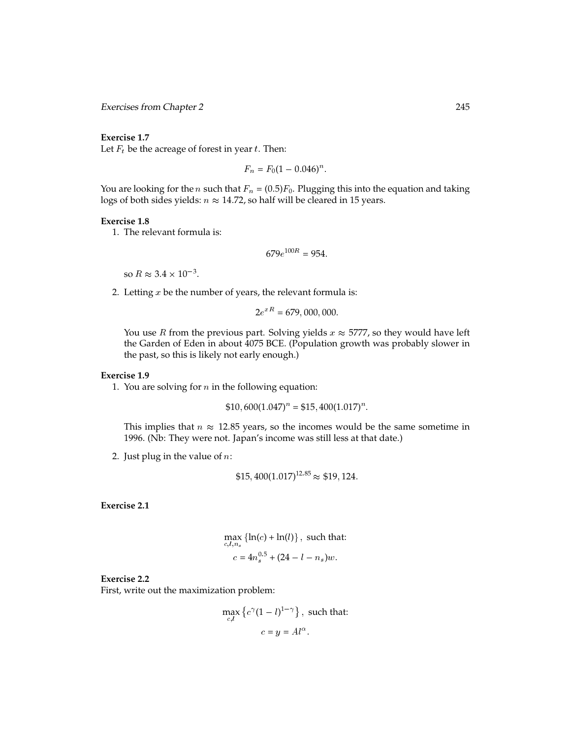Exercises from Chapter <sup>2</sup> 245

# **Exercise 1.7**

Let  $F_t$  be the acreage of forest in year  $t$ . Then:

$$
F_n = F_0 (1 - 0.046)^n.
$$

You are looking for the *n* such that  $F_n = (0.5)F_0$ . Plugging this into the equation and taking logs of both sides yields:  $n \approx 14.72$ , so half will be cleared in 15 years.

# **Exercise 1.8**

1. The relevant formula is:

$$
679e^{100R} = 954
$$

so  $R \approx 3.4 \times 10^{-3}$ .

2. Letting  $x$  be the number of years, the relevant formula is:

$$
2e^{xR} = 679,000,000.
$$

You use R from the previous part. Solving yields  $x \approx 5777$ , so they would have left the Garden of Eden in about 4075 BCE. (Population growth was probably slower in the past, so this is likely not early enough.)

# **Exercise 1.9**

1. You are solving for  $n$  in the following equation:

$$
$10,600(1.047)^n = $15,400(1.017)^n
$$

This implies that  $n \approx 12.85$  years, so the incomes would be the same sometime in 1996. (Nb: They were not. Japan's income was still less at that date.)

2. Just plug in the value of  $n$ :

$$
$15,400(1.017)^{12.85} \approx $19,124.
$$

**Exercise 2.1**

$$
\max_{c,l,n_s} \{ \ln(c) + \ln(l) \}, \text{ such that:}
$$

$$
c = 4n_s^{0.5} + (24 - l - n_s)w.
$$

### **Exercise 2.2**

First, write out the maximization problem:

$$
\max_{c,l} \left\{ c^{\gamma} (1-l)^{1-\gamma} \right\}, \text{ such that:}
$$

$$
c = y = A l^{\alpha}.
$$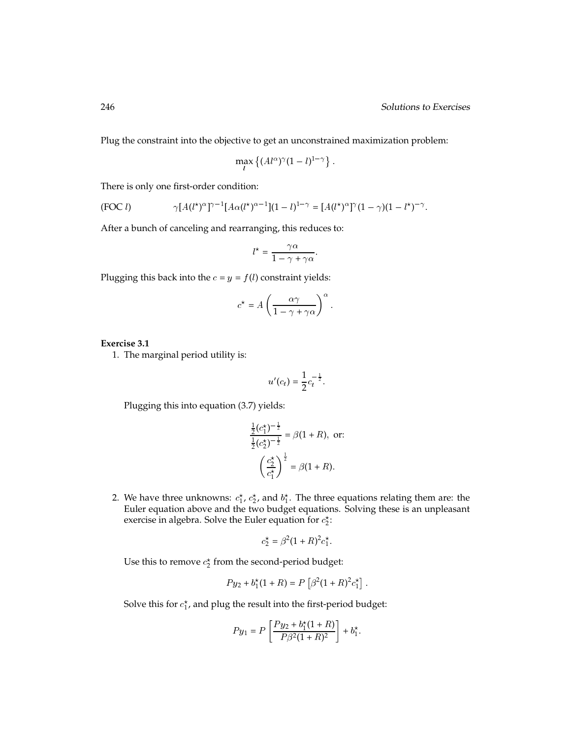Plug the constraint into the objective to get an unconstrained maximization problem:

$$
\max_{l} \left\{ (Al^{\alpha})^{\gamma} (1-l)^{1-\gamma} \right\}.
$$

There is only one first-order condition:

(FOC l) 
$$
\gamma[A(l^*)^{\alpha}]^{\gamma-1}[A\alpha(l^*)^{\alpha-1}](1-l)^{1-\gamma} = [A(l^*)^{\alpha}]^{\gamma}(1-\gamma)(1-l^*)^{-\gamma}.
$$

After a bunch of canceling and rearranging, this reduces to:

$$
l^* = \frac{\gamma \alpha}{1 - \gamma + \gamma \alpha}.
$$

Plugging this back into the  $c = y = f(l)$  constraint yields:

$$
c^* = A \left( \frac{\alpha \gamma}{1 - \gamma + \gamma \alpha} \right)^{\alpha}.
$$

**Exercise 3.1**

1. The marginal period utility is:

$$
u'(c_t) = \frac{1}{2}c_t^{-\frac{1}{2}}.
$$

Plugging this into equation (3.7) yields:

$$
\frac{\frac{1}{2}(c_1^*)^{-\frac{1}{2}}}{\frac{1}{2}(c_2^*)^{-\frac{1}{2}}} = \beta(1+R), \text{ or:}
$$

$$
\left(\frac{c_2^*}{c_1^*}\right)^{\frac{1}{2}} = \beta(1+R).
$$

2. We have three unknowns:  $c_1^{\star}$ ,  $c_2^{\star}$ , and  $b_1^{\star}$ . The three equations relating them are: the Euler equation above and the two budget equations. Solving these is an unpleasant exercise in algebra. Solve the Euler equation for  $c_2^\star$ :

$$
c_2^* = \beta^2 (1+R)^2 c_1^*
$$

Use this to remove  $c_2^*$  from the second-period budget:

$$
Py_2 + b_1^*(1+R) = P\left[\beta^2(1+R)^2c_1^*\right].
$$

Solve this for  $c_1^{\star}$ , and plug the result into the first-period budget:

$$
Py_1 = P\left[\frac{Py_2 + b_1^*(1+R)}{P\beta^2(1+R)^2}\right] + b_1^*.
$$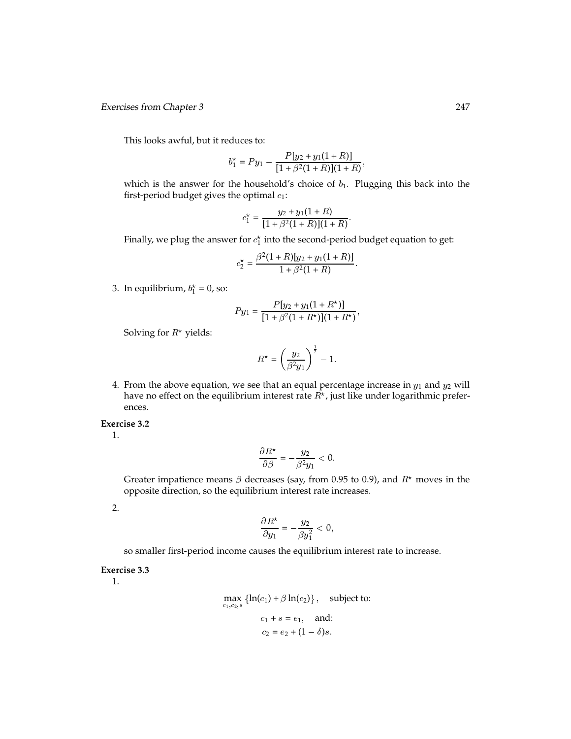This looks awful, but it reduces to:

$$
b_1^* = Py_1 - \frac{P[y_2 + y_1(1+R)]}{[1 + \beta^2(1+R)](1+R)},
$$

which is the answer for the household's choice of  $b_1$ . Plugging this back into the first-period budget gives the optimal  $c_1$ :

$$
c_1^* = \frac{y_2 + y_1(1+R)}{[1 + \beta^2(1+R)](1+R)}.
$$

Finally, we plug the answer for  $c_1^\star$  into the second-period budget equation to get:

$$
c_2^* = \frac{\beta^2 (1+R)[y_2+y_1(1+R)]}{1+\beta^2(1+R)}.
$$

3. In equilibrium,  $b_1^* = 0$ , so:

$$
Py_1 = \frac{P[y_2 + y_1(1 + R^*)]}{[1 + \beta^2(1 + R^*)](1 + R^*)},
$$

Solving for  $R^{\star}$  yields:

$$
R^* = \left(\frac{y_2}{\beta^2 y_1}\right)^{\frac{1}{2}} - 1.
$$

4. From the above equation, we see that an equal percentage increase in  $y_1$  and  $y_2$  will have no effect on the equilibrium interest rate  $R^{\star}$ , just like under logarithmic preferences.

**Exercise 3.2**

1.

$$
\frac{\partial R^{\star}}{\partial \beta} = -\frac{y_2}{\beta^2 y_1} < 0.
$$

Greater impatience means  $\beta$  decreases (say, from 0.95 to 0.9), and  $R^\star$  moves in the opposite direction, so the equilibrium interest rate increases.

2.

$$
\frac{\partial R^{\star}}{\partial y_1} = -\frac{y_2}{\beta y_1^2} < 0,
$$

so smaller first-period income causes the equilibrium interest rate to increase.

**Exercise 3.3**

1.

$$
\max_{c_1, c_2, s} \{ \ln(c_1) + \beta \ln(c_2) \}, \quad \text{subject to:}
$$
\n
$$
c_1 + s = e_1, \quad \text{and:}
$$
\n
$$
c_2 = e_2 + (1 - \delta)s.
$$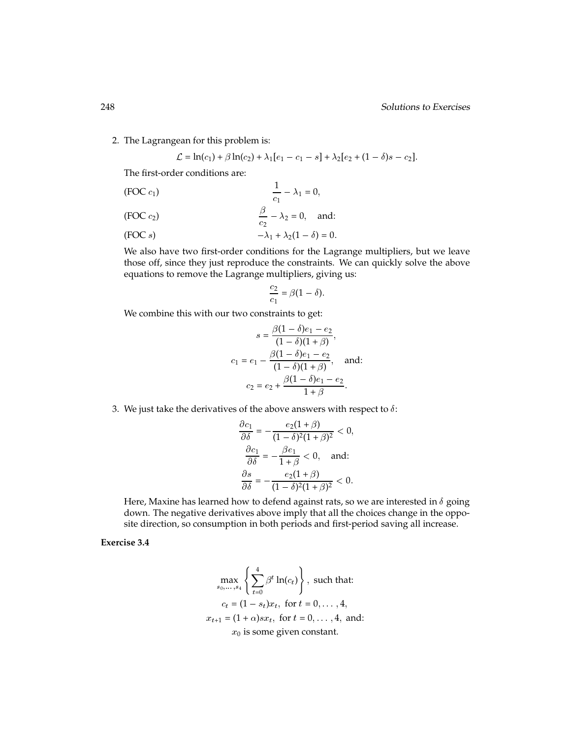2. The Lagrangean for this problem is:

$$
\mathcal{L} = \ln(c_1) + \beta \ln(c_2) + \lambda_1 [e_1 - c_1 - s] + \lambda_2 [e_2 + (1 - \delta)s - c_2].
$$

The first-order conditions are:

(FOC 
$$
c_1
$$
) 
$$
\frac{1}{c_1} - \lambda_1 = 0,
$$

(FOC 
$$
c_2
$$
)  $\frac{\beta}{c_2} - \lambda_2 = 0$ , and:

$$
-\lambda_1 + \lambda_2 (1 - \delta) = 0.
$$
 (FOC s)

We also have two first-order conditions for the Lagrange multipliers, but we leave those off, since they just reproduce the constraints. We can quickly solve the above equations to remove the Lagrange multipliers, giving us:

$$
\frac{c_2}{c_1} = \beta(1-\delta).
$$

We combine this with our two constraints to get:

$$
s = \frac{\beta(1 - \delta)e_1 - e_2}{(1 - \delta)(1 + \beta)},
$$
  
\n
$$
c_1 = e_1 - \frac{\beta(1 - \delta)e_1 - e_2}{(1 - \delta)(1 + \beta)},
$$
 and:  
\n
$$
c_2 = e_2 + \frac{\beta(1 - \delta)e_1 - e_2}{1 + \beta}.
$$

3. We just take the derivatives of the above answers with respect to  $\delta$ :

$$
\frac{\partial c_1}{\partial \delta} = -\frac{e_2(1+\beta)}{(1-\delta)^2(1+\beta)^2} < 0,
$$
\n
$$
\frac{\partial c_1}{\partial \delta} = -\frac{\beta e_1}{1+\beta} < 0, \text{ and:}
$$
\n
$$
\frac{\partial s}{\partial \delta} = -\frac{e_2(1+\beta)}{(1-\delta)^2(1+\beta)^2} < 0.
$$

Here, Maxine has learned how to defend against rats, so we are interested in  $\delta$  going down. The negative derivatives above imply that all the choices change in the opposite direction, so consumption in both periods and first-period saving all increase.

# **Exercise 3.4**

$$
\max_{s_0, \ldots, s_4} \left\{ \sum_{t=0}^4 \beta^t \ln(c_t) \right\}, \text{ such that:}
$$
\n
$$
c_t = (1 - s_t)x_t, \text{ for } t = 0, \ldots, 4,
$$
\n
$$
x_{t+1} = (1 + \alpha)sx_t, \text{ for } t = 0, \ldots, 4, \text{ and:}
$$
\n
$$
x_0 \text{ is some given constant.}
$$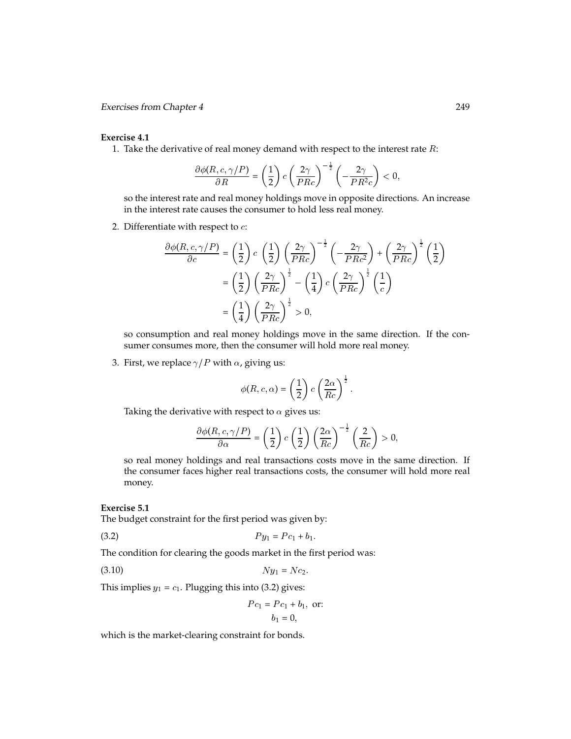Exercises from Chapter <sup>4</sup> 249

# **Exercise 4.1**

1. Take the derivative of real money demand with respect to the interest rate  $R$ :

$$
\frac{\partial \phi(R, c, \gamma/P)}{\partial R} = \left(\frac{1}{2}\right)c\left(\frac{2\gamma}{PRc}\right)^{-\frac{1}{2}}\left(-\frac{2\gamma}{PR^2c}\right) < 0,
$$

so the interest rate and real money holdings move in opposite directions. An increase in the interest rate causes the consumer to hold less real money.

2. Differentiate with respect to  $c$ :

$$
\frac{\partial \phi(R, c, \gamma/P)}{\partial c} = \left(\frac{1}{2}\right) c \left(\frac{1}{2}\right) \left(\frac{2\gamma}{PRc}\right)^{-\frac{1}{2}} \left(-\frac{2\gamma}{PRc^2}\right) + \left(\frac{2\gamma}{PRc}\right)^{\frac{1}{2}} \left(\frac{1}{2}\right)
$$

$$
= \left(\frac{1}{2}\right) \left(\frac{2\gamma}{PRc}\right)^{\frac{1}{2}} - \left(\frac{1}{4}\right) c \left(\frac{2\gamma}{PRc}\right)^{\frac{1}{2}} \left(\frac{1}{c}\right)
$$

$$
= \left(\frac{1}{4}\right) \left(\frac{2\gamma}{PRc}\right)^{\frac{1}{2}} > 0,
$$

so consumption and real money holdings move in the same direction. If the consumer consumes more, then the consumer will hold more real money.

3. First, we replace  $\gamma/P$  with  $\alpha$ , giving us:

$$
\phi(R, c, \alpha) = \left(\frac{1}{2}\right) c \left(\frac{2\alpha}{Rc}\right)^{\frac{1}{2}}.
$$

Taking the derivative with respect to  $\alpha$  gives us:

$$
\frac{\partial \phi(R, c, \gamma/P)}{\partial \alpha} = \left(\frac{1}{2}\right) c \left(\frac{1}{2}\right) \left(\frac{2\alpha}{Rc}\right)^{-\frac{1}{2}} \left(\frac{2}{Rc}\right) > 0,
$$

so real money holdings and real transactions costs move in the same direction. If the consumer faces higher real transactions costs, the consumer will hold more real money.

# **Exercise 5.1**

The budget constraint for the first period was given by:

$$
(3.2) \t\t\t P y_1 = P c_1 + b_1.
$$

The condition for clearing the goods market in the first period was:

$$
(3.10) \t\t\t Ny_1 = Nc_2.
$$

This implies  $y_1 = c_1$ . Plugging this into (3.2) gives:

$$
P c_1 = P c_1 + b_1, \text{ or:} \\ b_1 = 0,
$$

which is the market-clearing constraint for bonds.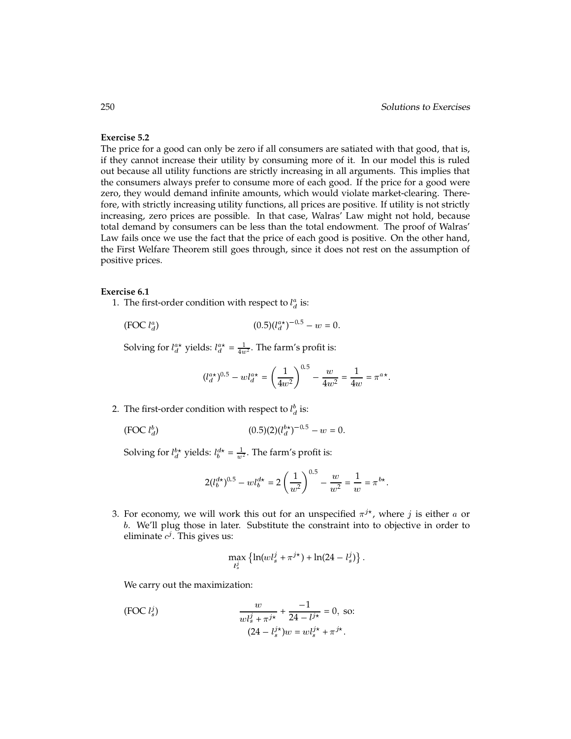# **Exercise 5.2**

The price for a good can only be zero if all consumers are satiated with that good, that is, if they cannot increase their utility by consuming more of it. In our model this is ruled out because all utility functions are strictly increasing in all arguments. This implies that the consumers always prefer to consume more of each good. If the price for a good were zero, they would demand infinite amounts, which would violate market-clearing. Therefore, with strictly increasing utility functions, all prices are positive. If utility is not strictly increasing, zero prices are possible. In that case, Walras' Law might not hold, because total demand by consumers can be less than the total endowment. The proof of Walras' Law fails once we use the fact that the price of each good is positive. On the other hand, the First Welfare Theorem still goes through, since it does not rest on the assumption of positive prices.

# **Exercise 6.1**

 $\overline{\phantom{a}}$ 

1. The first-order condition with respect to  $l_d^a$  is:  $\overline{\phantom{a}}$ 

(FOC 
$$
l_d^a
$$
) 
$$
(0.5)(l_d^{a*})^{-0.5} - w = 0.
$$

Solving for  $l_d^a$ <sup>\*</sup> yields:  $l_d^a$ <sup>\*</sup> =  $\frac{1}{4w^2}$ . The farm's profit is:

$$
(l_d^{a*})^{0.5} - w l_d^{a*} = \left(\frac{1}{4w^2}\right)^{0.5} - \frac{w}{4w^2} = \frac{1}{4w} = \pi^{a*}.
$$

2. The first-order condition with respect to  $l_d^b$  is:

(FOC 
$$
l_d^b
$$
) 
$$
(0.5)(2)(l_d^{b*})^{-0.5} - w = 0.
$$

Solving for  $l_d^{b*}$  yields:  $l_b^{d*} = \frac{1}{w^2}$ . The farm's profit is:

$$
2(l_b^{d*})^{0.5} - w l_b^{d*} = 2\left(\frac{1}{w^2}\right)^{0.5} - \frac{w}{w^2} = \frac{1}{w} = \pi^{b*}.
$$

3. For economy, we will work this out for an unspecified  $\pi^{j*}$ , where j is either a or b. We'll plug those in later. Substitute the constraint into to objective in order to eliminate  $c^{\jmath}.$  This gives us:

$$
\max_{l_s^j}\left\{\ln(wl_s^j+\pi^{j\star})+\ln(24-l_s^j)\right\}.
$$

We carry out the maximization:

(FOC 
$$
l_s^j
$$
)  
\n
$$
\frac{w}{wl_s^j + \pi^{j*}} + \frac{-1}{24 - l^{j*}} = 0, \text{ so:}
$$
\n
$$
(24 - l_s^{j*})w = w l_s^{j*} + \pi^{j*}.
$$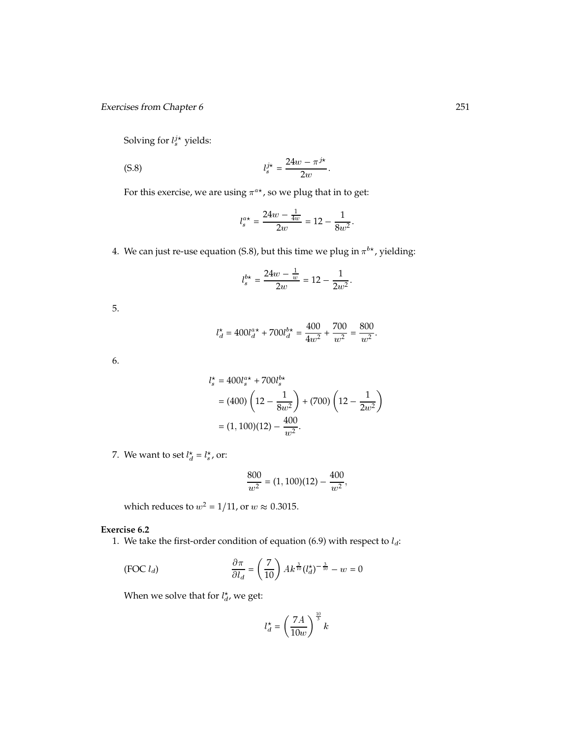Solving for  $l_s^{\jmath\star}$  yields:

(S.8) 
$$
l_s^{j*} = \frac{24w - \pi^{j*}}{2w}.
$$

For this exercise, we are using  $\pi^{a*}$ , so we plug that in to get:

$$
l_s^{a*} = \frac{24w - \frac{1}{4w}}{2w} = 12 - \frac{1}{8w^2}.
$$

4. We can just re-use equation (S.8), but this time we plug in  $\pi^{b*}$ , yielding:

$$
l_s^{b*} = \frac{24w - \frac{1}{w}}{2w} = 12 - \frac{1}{2w^2}.
$$

5.

$$
l_d^* = 400l_d^{a*} + 700l_d^{b*} = \frac{400}{4w^2} + \frac{700}{w^2} = \frac{800}{w^2}.
$$

6.

$$
l_s^* = 400l_s^{a*} + 700l_s^{b*}
$$
  
=  $(400) \left(12 - \frac{1}{8w^2}\right) + (700) \left(12 - \frac{1}{2w^2}\right)$   
=  $(1, 100)(12) - \frac{400}{w^2}$ .

7. We want to set  $l_d^{\star} = l_s^{\star}$ , or:

$$
\frac{800}{w^2} = (1, 100)(12) - \frac{400}{w^2},
$$

which reduces to  $w^2 = 1/11$ , or  $w \approx 0.3015$ .

# **Exercise 6.2**

1. We take the first-order condition of equation (6.9) with respect to  $l_d$ :

(FOC 
$$
l_d
$$
) 
$$
\frac{\partial \pi}{\partial l_d} = \left(\frac{7}{10}\right) Ak^{\frac{3}{10}}(l_d^*)^{-\frac{3}{10}} - w = 0
$$

When we solve that for  $l_d^*$ , we get:

$$
l_d^{\star} = \left(\frac{7A}{10w}\right)^{\frac{10}{3}}k
$$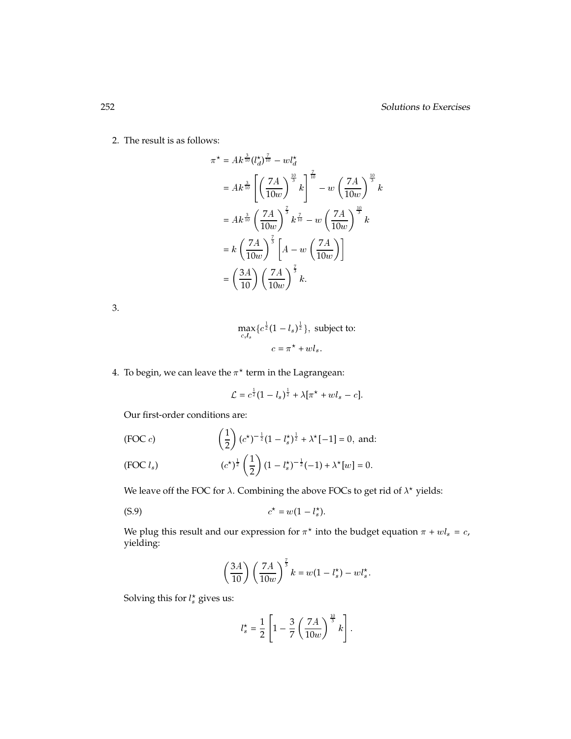2. The result is as follows:

$$
\pi^* = Ak^{\frac{3}{10}}(l_d^*)^{\frac{7}{10}} - w l_d^*
$$
\n
$$
= Ak^{\frac{3}{10}} \left[ \left( \frac{7A}{10w} \right)^{\frac{10}{3}} k \right]^{\frac{7}{10}} - w \left( \frac{7A}{10w} \right)^{\frac{10}{3}} k
$$
\n
$$
= Ak^{\frac{3}{10}} \left( \frac{7A}{10w} \right)^{\frac{7}{3}} k^{\frac{7}{10}} - w \left( \frac{7A}{10w} \right)^{\frac{10}{3}} k
$$
\n
$$
= k \left( \frac{7A}{10w} \right)^{\frac{7}{3}} \left[ A - w \left( \frac{7A}{10w} \right) \right]
$$
\n
$$
= \left( \frac{3A}{10} \right) \left( \frac{7A}{10w} \right)^{\frac{7}{3}} k.
$$

3.

$$
\max_{c,l_s} \{c^{\frac{1}{2}}(1-l_s)^{\frac{1}{2}}\}, \text{ subject to:}
$$

$$
c = \pi^* + w l_s.
$$

4. To begin, we can leave the  $\pi^\star$  term in the Lagrangean:

$$
\mathcal{L} = c^{\frac{1}{2}}(1 - l_s)^{\frac{1}{2}} + \lambda [\pi^* + w l_s - c].
$$

Our first-order conditions are:

(FOC c) 
$$
\left(\frac{1}{2}\right) (c^*)^{-\frac{1}{2}} (1 - l_s^*)^{\frac{1}{2}} + \lambda^* [-1] = 0
$$
, and:  
\n $(c^*)^{\frac{1}{2}} {1 \choose 1} (1 - l_s^*)^{-\frac{1}{2}} (-1) + \lambda^* [-1] = 0$ 

(FOC 
$$
l_s
$$
) 
$$
(c^*)^{\frac{1}{2}} \left(\frac{1}{2}\right) (1 - l_s^*)^{-\frac{1}{2}} (-1) + \lambda^* [w] = 0.
$$

We leave off the FOC for  $\lambda$ . Combining the above FOCs to get rid of  $\lambda^\star$  yields:

(S.9) 
$$
c^* = w(1 - l_s^*).
$$

We plug this result and our expression for  $\pi^*$  into the budget equation  $\pi + w l_s = c$ , yielding:

$$
\left(\frac{3A}{10}\right)\left(\frac{7A}{10w}\right)^{\frac{7}{3}}k = w(1 - l_s^*) - w l_s^*.
$$

Solving this for  $l_s^{\star}$  gives us:

$$
l_s^* = \frac{1}{2} \left[ 1 - \frac{3}{7} \left( \frac{7A}{10w} \right)^{\frac{10}{3}} k \right].
$$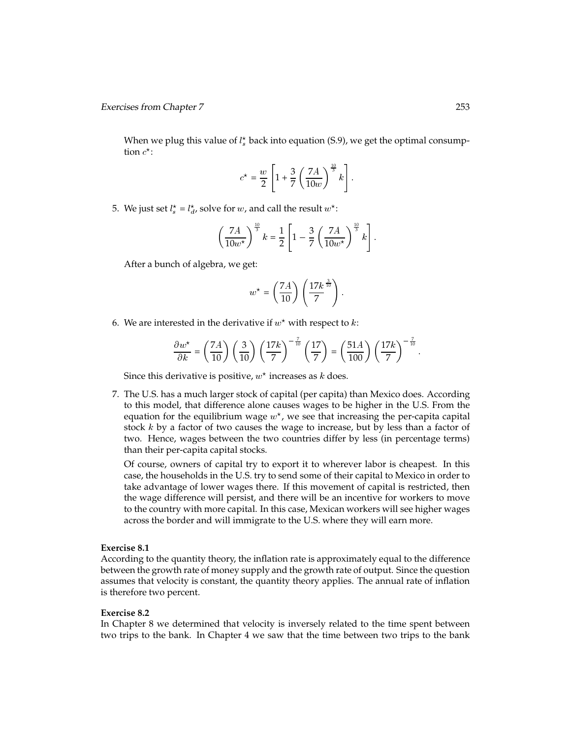When we plug this value of  $l_s^*$  back into equation (S.9), we get the optimal consumpstion  $c^*$ :

$$
c^* = \frac{w}{2} \left[ 1 + \frac{3}{7} \left( \frac{7A}{10w} \right)^{\frac{10}{3}} k \right].
$$

5. We just set  $l_s^* = l_d^*$ , solve for w, and call the result  $w^*$ :

$$
\left(\frac{7A}{10w^{\star}}\right)^{\frac{10}{3}}k = \frac{1}{2}\left[1 - \frac{3}{7}\left(\frac{7A}{10w^{\star}}\right)^{\frac{10}{3}}k\right].
$$

After a bunch of algebra, we get:

s

$$
w^* = \left(\frac{7A}{10}\right) \left(\frac{17k^{\frac{3}{10}}}{7}\right).
$$

6. We are interested in the derivative if  $w^\star$  with respect to  $k$ :

$$
\frac{\partial w^*}{\partial k} = \left(\frac{7A}{10}\right) \left(\frac{3}{10}\right) \left(\frac{17k}{7}\right)^{-\frac{7}{10}} \left(\frac{17}{7}\right) = \left(\frac{51A}{100}\right) \left(\frac{17k}{7}\right)^{-\frac{7}{10}}.
$$

Since this derivative is positive,  $w^\star$  increases as  $k$  does.

7. The U.S. has a much larger stock of capital (per capita) than Mexico does. According to this model, that difference alone causes wages to be higher in the U.S. From the equation for the equilibrium wage  $w^*$ , we see that increasing the per-capita capital stock  $k$  by a factor of two causes the wage to increase, but by less than a factor of two. Hence, wages between the two countries differ by less (in percentage terms) than their per-capita capital stocks.

Of course, owners of capital try to export it to wherever labor is cheapest. In this case, the households in the U.S. try to send some of their capital to Mexico in order to take advantage of lower wages there. If this movement of capital is restricted, then the wage difference will persist, and there will be an incentive for workers to move to the country with more capital. In this case, Mexican workers will see higher wages across the border and will immigrate to the U.S. where they will earn more.

### **Exercise 8.1**

According to the quantity theory, the inflation rate is approximately equal to the difference between the growth rate of money supply and the growth rate of output. Since the question assumes that velocity is constant, the quantity theory applies. The annual rate of inflation is therefore two percent.

### **Exercise 8.2**

In Chapter 8we determined that velocity is inversely related to the time spent between two trips to the bank. In Chapter 4 we saw that the time between two trips to the bank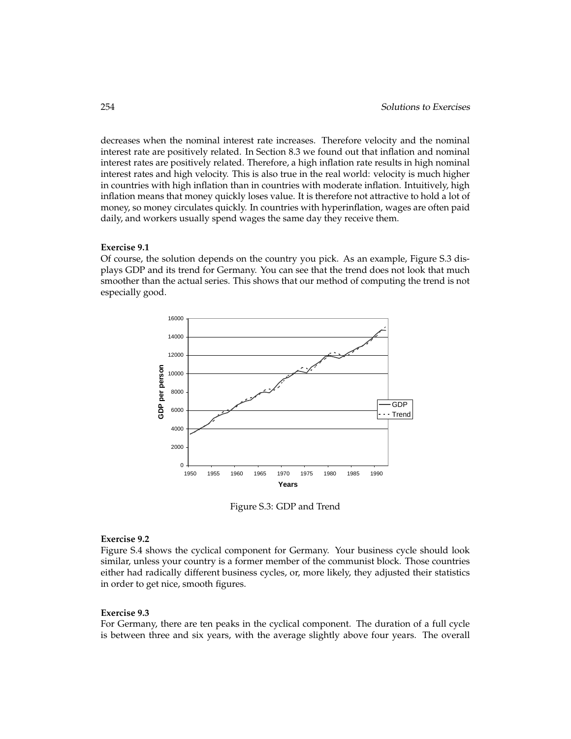decreases when the nominal interest rate increases. Therefore velocity and the nominal interest rate are positively related. In Section 8.3 we found out that inflation and nominal interest rates are positively related. Therefore, a high inflation rate results in high nominal interest rates and high velocity. This is also true in the real world: velocity is much higher in countries with high inflation than in countries with moderate inflation. Intuitively, high inflation means that money quickly loses value. It is therefore not attractive to hold a lot of money, so money circulates quickly. In countries with hyperinflation, wages are often paid daily, and workers usually spend wages the same day they receive them.

# **Exercise 9.1**

Of course, the solution depends on the country you pick. As an example, Figure S.3 displays GDP and its trend for Germany. You can see that the trend does not look that much smoother than the actual series. This shows that our method of computing the trend is not especially good.



Figure S.3: GDP and Trend

# **Exercise 9.2**

Figure S.4 shows the cyclical component for Germany. Your business cycle should look similar, unless your country is a former member of the communist block. Those countries either had radically different business cycles, or, more likely, they adjusted their statistics in order to get nice, smooth figures.

### **Exercise 9.3**

For Germany, there are ten peaks in the cyclical component. The duration of a full cycle is between three and six years, with the average slightly above four years. The overall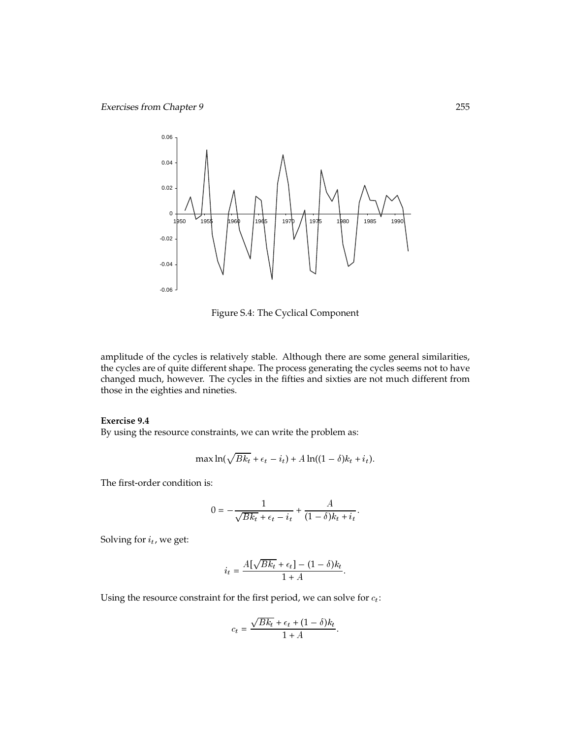

Figure S.4: The Cyclical Component

amplitude of the cycles is relatively stable. Although there are some general similarities, the cycles are of quite different shape. The process generating the cycles seems not to have changed much, however. The cycles in the fifties and sixties are not much different from those in the eighties and nineties.

# **Exercise 9.4**

By using the resource constraints, we can write the problem as:

$$
\max \ln(\sqrt{Bk_t} + \epsilon_t - i_t) + A \ln((1 - \delta)k_t + i_t).
$$

The first-order condition is:

$$
0 = -\frac{1}{\sqrt{Bk_t} + \epsilon_t - i_t} + \frac{A}{(1 - \delta)k_t + i_t}.
$$

Solving for  $i_t$ , we get:

$$
i_t = \frac{A[\sqrt{Bk_t} + \epsilon_t] - (1 - \delta)k_t}{1 + A}.
$$

Using the resource constraint for the first period, we can solve for  $c_t$ :

$$
c_t = \frac{\sqrt{Bk_t} + \epsilon_t + (1 - \delta)k_t}{1 + A}.
$$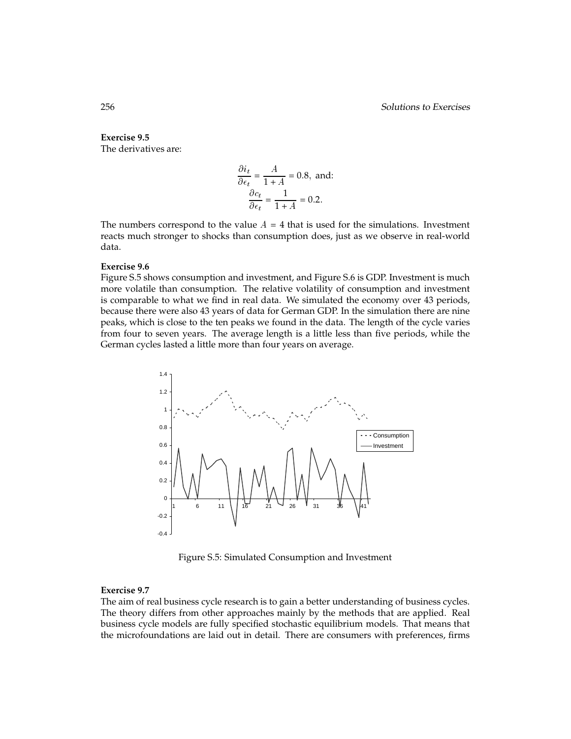# **Exercise 9.5**

The derivatives are:

$$
\frac{\partial i_t}{\partial \epsilon_t} = \frac{A}{1+A} = 0.8, \text{ and:}
$$

$$
\frac{\partial c_t}{\partial \epsilon_t} = \frac{1}{1+A} = 0.2.
$$

The numbers correspond to the value  $A = 4$  that is used for the simulations. Investment reacts much stronger to shocks than consumption does, just as we observe in real-world data.

# **Exercise 9.6**

Figure S.5 shows consumption and investment, and Figure S.6 is GDP. Investment is much more volatile than consumption. The relative volatility of consumption and investment is comparable to what we find in real data. We simulated the economy over 43 periods, because there were also 43 years of data for German GDP. In the simulation there are nine peaks, which is close to the ten peaks we found in the data. The length of the cycle varies from four to seven years. The average length is a little less than five periods, while the German cycles lasted a little more than four years on average.



Figure S.5: Simulated Consumption and Investment

# **Exercise 9.7**

The aim of real business cycle research is to gain a better understanding of business cycles. The theory differs from other approaches mainly by the methods that are applied. Real business cycle models are fully specified stochastic equilibrium models. That means that the microfoundations are laid out in detail. There are consumers with preferences, firms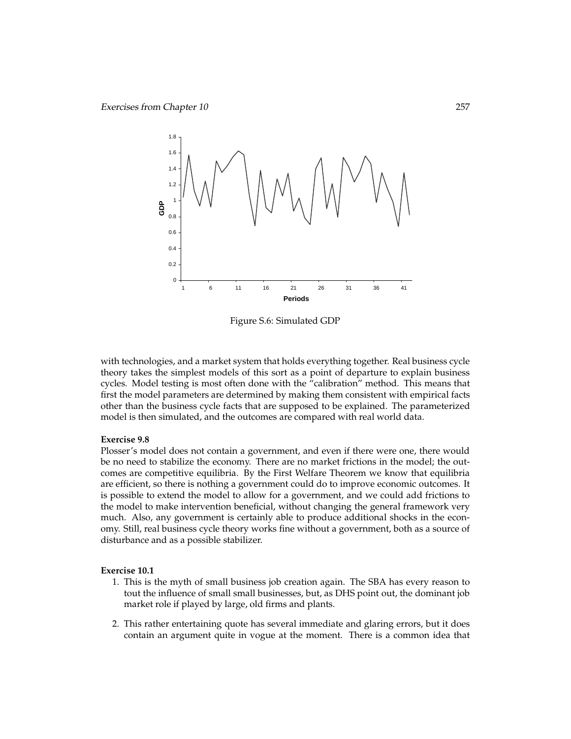

Figure S.6: Simulated GDP

with technologies, and a market system that holds everything together. Real business cycle theory takes the simplest models of this sort as a point of departure to explain business cycles. Model testing is most often done with the "calibration" method. This means that first the model parameters are determined by making them consistent with empirical facts other than the business cycle facts that are supposed to be explained. The parameterized model is then simulated, and the outcomes are compared with real world data.

# **Exercise 9.8**

Plosser's model does not contain a government, and even if there were one, there would be no need to stabilize the economy. There are no market frictions in the model; the outcomes are competitive equilibria. By the First Welfare Theorem we know that equilibria are efficient, so there is nothing a government could do to improve economic outcomes. It is possible to extend the model to allow for a government, and we could add frictions to the model to make intervention beneficial, without changing the general framework very much. Also, any government is certainly able to produce additional shocks in the economy. Still, real business cycle theory works fine without a government, both as a source of disturbance and as a possible stabilizer.

### **Exercise 10.1**

- 1. This is the myth of small business job creation again. The SBA has every reason to tout the influence of small small businesses, but, as DHS point out, the dominant job market role if played by large, old firms and plants.
- 2. This rather entertaining quote has several immediate and glaring errors, but it does contain an argument quite in vogue at the moment. There is a common idea that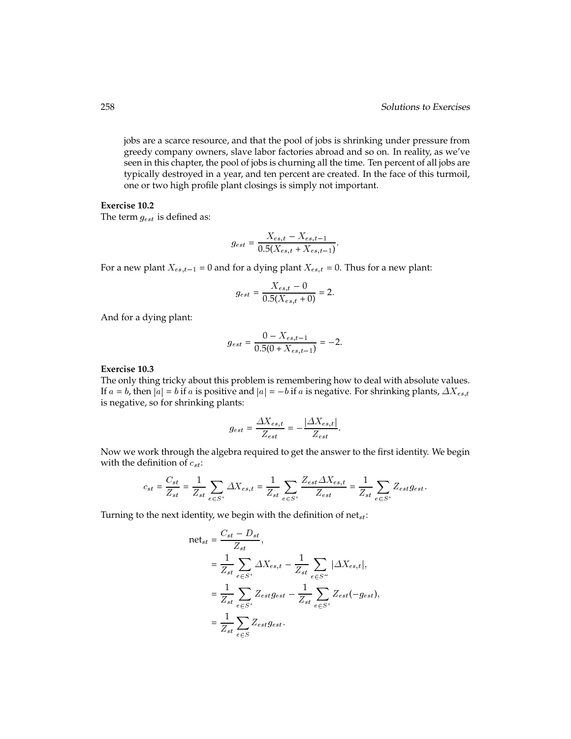jobs are a scarce resource, and that the pool of jobs is shrinking under pressure from greedy company owners, slave labor factories abroad and so on. In reality, as we've seen in this chapter, the pool of jobs is churning all the time. Ten percent of all jobs are typically destroyed in a year, and ten percent are created. In the face of this turmoil, one or two high profile plant closings is simply not important.

# **Exercise 10.2**

The term  $g_{est}$  is defined as:

$$
g_{est} = \frac{X_{es,t} - X_{es,t-1}}{0.5(X_{es,t} + X_{es,t-1})}.
$$

For a new plant  $X_{es,t-1} = 0$  and for a dying plant  $X_{es,t} = 0$ . Thus for a new plant:

$$
g_{est} = \frac{X_{es,t} - 0}{0.5(X_{es,t} + 0)} = 2.
$$

And for a dying plant:

$$
g_{est} = \frac{0 - X_{es,t-1}}{0.5(0 + X_{es,t-1})} = -2.
$$

### **Exercise 10.3**

The only thing tricky about this problem is remembering how to deal with absolute values. If  $a = b$ , then  $|a| = b$  if a is positive and  $|a| = -b$  if a is negative. For shrinking plants,  $\Delta X_{es,t}$ is negative, so for shrinking plants:

$$
g_{est} = \frac{\Delta X_{es,t}}{Z_{est}} = -\frac{|\Delta X_{es,t}|}{Z_{est}}.
$$

Now we work through the algebra required to get the answer to the first identity. We begin with the definition of  $c_{st}$ :

$$
c_{st} = \frac{C_{st}}{Z_{st}} = \frac{1}{Z_{st}} \sum_{e \in S^+} \Delta X_{es,t} = \frac{1}{Z_{st}} \sum_{e \in S^+} \frac{Z_{est} \Delta X_{es,t}}{Z_{est}} = \frac{1}{Z_{st}} \sum_{e \in S^+} Z_{est} g_{est}.
$$

Turning to the next identity, we begin with the definition of  $net_{st}$ :

$$
\begin{aligned}\n\text{net}_{st} &= \frac{C_{st} - D_{st}}{Z_{st}}, \\
&= \frac{1}{Z_{st}} \sum_{e \in S^{+}} \Delta X_{es,t} - \frac{1}{Z_{st}} \sum_{e \in S^{-}} |\Delta X_{es,t}|, \\
&= \frac{1}{Z_{st}} \sum_{e \in S^{+}} Z_{est} g_{est} - \frac{1}{Z_{st}} \sum_{e \in S^{+}} Z_{est}(-g_{est}), \\
&= \frac{1}{Z_{st}} \sum_{e \in S} Z_{est} g_{est}.\n\end{aligned}
$$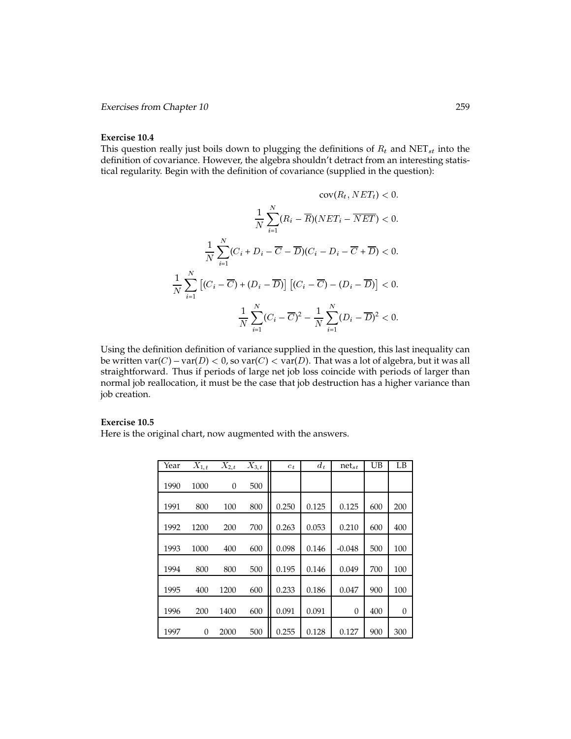# Exercises from Chapter 10 259

# **Exercise 10.4**

This question really just boils down to plugging the definitions of  $R_t$  and NET<sub>st</sub> into the definition of covariance. However, the algebra shouldn't detract from an interesting statistical regularity. Begin with the definition of covariance (supplied in the question):

$$
\text{cov}(R_t, NET_t) < 0.
$$
\n
$$
\frac{1}{N} \sum_{i=1}^{N} (R_i - \overline{R})(NET_i - \overline{NET}) < 0.
$$
\n
$$
\frac{1}{N} \sum_{i=1}^{N} (C_i + D_i - \overline{C} - \overline{D})(C_i - D_i - \overline{C} + \overline{D}) < 0.
$$
\n
$$
\frac{1}{N} \sum_{i=1}^{N} \left[ (C_i - \overline{C}) + (D_i - \overline{D}) \right] \left[ (C_i - \overline{C}) - (D_i - \overline{D}) \right] < 0.
$$
\n
$$
\frac{1}{N} \sum_{i=1}^{N} (C_i - \overline{C})^2 - \frac{1}{N} \sum_{i=1}^{N} (D_i - \overline{D})^2 < 0.
$$

Using the definition definition of variance supplied in the question, this last inequality can be written  $var(C) - var(D) < 0$ , so  $var(C) < var(D)$ . That was a lot of algebra, but it was all straightforward. Thus if periods of large net job loss coincide with periods of larger than normal job reallocation, it must be the case that job destruction has a higher variance than job creation.

# **Exercise 10.5**

Here is the original chart, now augmented with the answers.

| Year | $X_{1,t}$ | $X_{2,t}$ | $X_{3,t}$ | $c_t$ | $d_t$ | $net_{st}$ | UB  | LB             |
|------|-----------|-----------|-----------|-------|-------|------------|-----|----------------|
| 1990 | 1000      | $\theta$  | 500       |       |       |            |     |                |
| 1991 | 800       | 100       | 800       | 0.250 | 0.125 | 0.125      | 600 | 200            |
| 1992 | 1200      | 200       | 700       | 0.263 | 0.053 | 0.210      | 600 | 400            |
| 1993 | 1000      | 400       | 600       | 0.098 | 0.146 | $-0.048$   | 500 | 100            |
| 1994 | 800       | 800       | 500       | 0.195 | 0.146 | 0.049      | 700 | 100            |
| 1995 | 400       | 1200      | 600       | 0.233 | 0.186 | 0.047      | 900 | 100            |
| 1996 | 200       | 1400      | 600       | 0.091 | 0.091 | $\theta$   | 400 | $\overline{0}$ |
| 1997 | 0         | 2000      | 500       | 0.255 | 0.128 | 0.127      | 900 | 300            |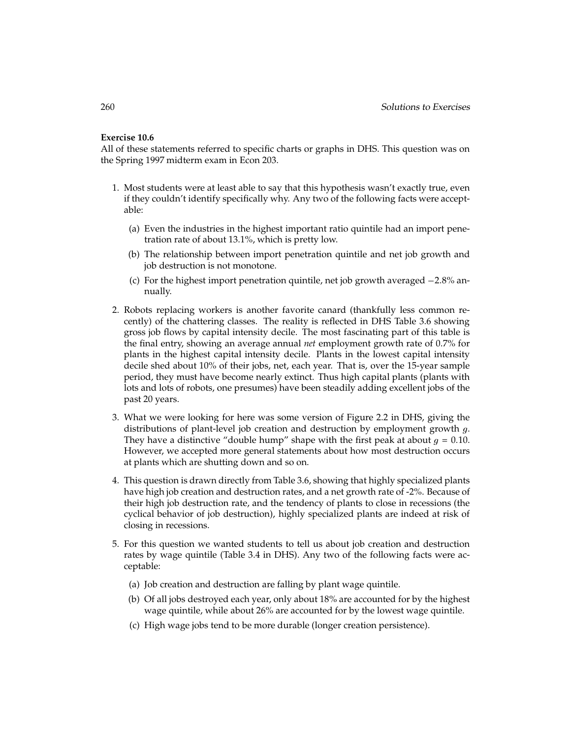# **Exercise 10.6**

All of these statements referred to specific charts or graphs in DHS. This question was on the Spring 1997 midterm exam in Econ 203.

- 1. Most students were at least able to say that this hypothesis wasn't exactly true, even if they couldn't identify specifically why. Any two of the following facts were acceptable:
	- (a) Even the industries in the highest important ratio quintile had an import penetration rate of about 13.1%, which is pretty low.
	- (b) The relationship between import penetration quintile and net job growth and job destruction is not monotone.
	- (c) For the highest import penetration quintile, net job growth averaged  $-2.8\%$  annually.
- 2. Robots replacing workers is another favorite canard (thankfully less common recently) of the chattering classes. The reality is reflected in DHS Table 3.6 showing gross job flows by capital intensity decile. The most fascinating part of this table is the final entry, showing an average annual *net* employment growth rate of 0.7% for plants in the highest capital intensity decile. Plants in the lowest capital intensity decile shed about 10% of their jobs, net, each year. That is, over the 15-year sample period, they must have become nearly extinct. Thus high capital plants (plants with lots and lots of robots, one presumes) have been steadily adding excellent jobs of the past 20 years.
- 3. What we were looking for here was some version of Figure 2.2 in DHS, giving the distributions of plant-level job creation and destruction by employment growth  $g$ . They have a distinctive "double hump" shape with the first peak at about  $g = 0.10$ . However, we accepted more general statements about how most destruction occurs at plants which are shutting down and so on.
- 4. This question is drawn directly from Table 3.6, showing that highly specialized plants have high job creation and destruction rates, and a net growth rate of -2%. Because of their high job destruction rate, and the tendency of plants to close in recessions (the cyclical behavior of job destruction), highly specialized plants are indeed at risk of closing in recessions.
- 5. For this question we wanted students to tell us about job creation and destruction rates by wage quintile (Table 3.4 in DHS). Any two of the following facts were acceptable:
	- (a) Job creation and destruction are falling by plant wage quintile.
	- (b) Of all jobs destroyed each year, only about 18% are accounted for by the highest wage quintile, while about 26% are accounted for by the lowest wage quintile.
	- (c) High wage jobs tend to be more durable (longer creation persistence).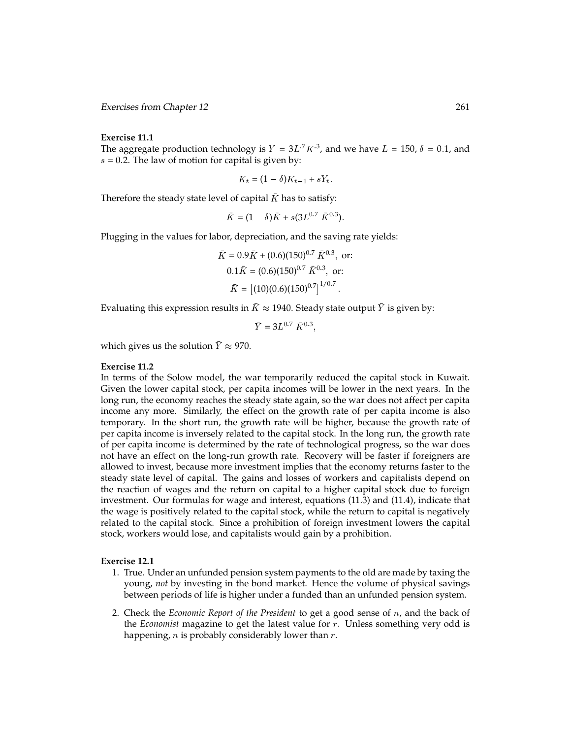Exercises from Chapter 12 261

# **Exercise 11.1**

The aggregate production technology is  $Y = 3L^{7}K^{3}$ , and we have  $L = 150$ ,  $\delta = 0.1$ , and  $s = 0.2$ . The law of motion for capital is given by:

$$
K_t = (1 - \delta)K_{t-1} + sY_t.
$$

Therefore the steady state level of capital  $\bar{K}$  has to satisfy:

$$
\bar{K} = (1 - \delta)\bar{K} + s(3L^{0.7} \bar{K}^{0.3}).
$$

Plugging in the values for labor, depreciation, and the saving rate yields:

$$
\bar{K} = 0.9\bar{K} + (0.6)(150)^{0.7} \bar{K}^{0.3}, \text{ or:}
$$
  
0.1
$$
\bar{K} = (0.6)(150)^{0.7} \bar{K}^{0.3}, \text{ or:}
$$
  

$$
\bar{K} = [(10)(0.6)(150)^{0.7}]^{1/0.7}.
$$

Evaluating this expression results in  $\bar{K} \approx 1940$ . Steady state output  $\bar{Y}$  is given by:

$$
\bar{Y} = 3L^{0.7} \,\bar{K}^{0.3},
$$

which gives us the solution  $\bar{Y} \approx 970$ .

### **Exercise 11.2**

In terms of the Solow model, the war temporarily reduced the capital stock in Kuwait. Given the lower capital stock, per capita incomes will be lower in the next years. In the long run, the economy reaches the steady state again, so the war does not affect per capita income any more. Similarly, the effect on the growth rate of per capita income is also temporary. In the short run, the growth rate will be higher, because the growth rate of per capita income is inversely related to the capital stock. In the long run, the growth rate of per capita income is determined by the rate of technological progress, so the war does not have an effect on the long-run growth rate. Recovery will be faster if foreigners are allowed to invest, because more investment implies that the economy returns faster to the steady state level of capital. The gains and losses of workers and capitalists depend on the reaction of wages and the return on capital to a higher capital stock due to foreign investment. Our formulas for wage and interest, equations (11.3) and (11.4), indicate that the wage is positively related to the capital stock, while the return to capital is negatively related to the capital stock. Since a prohibition of foreign investment lowers the capital stock, workers would lose, and capitalists would gain by a prohibition.

### **Exercise 12.1**

- 1. True. Under an unfunded pension system payments to the old are made by taxing the young, *not* by investing in the bond market. Hence the volume of physical savings between periods of life is higher under a funded than an unfunded pension system.
- 2. Check the *Economic Report of the President* to get a good sense of <sup>n</sup>, and the back of the *Economist* magazine to get the latest value for <sup>r</sup>. Unless something very odd is happening,  $n$  is probably considerably lower than  $r$ .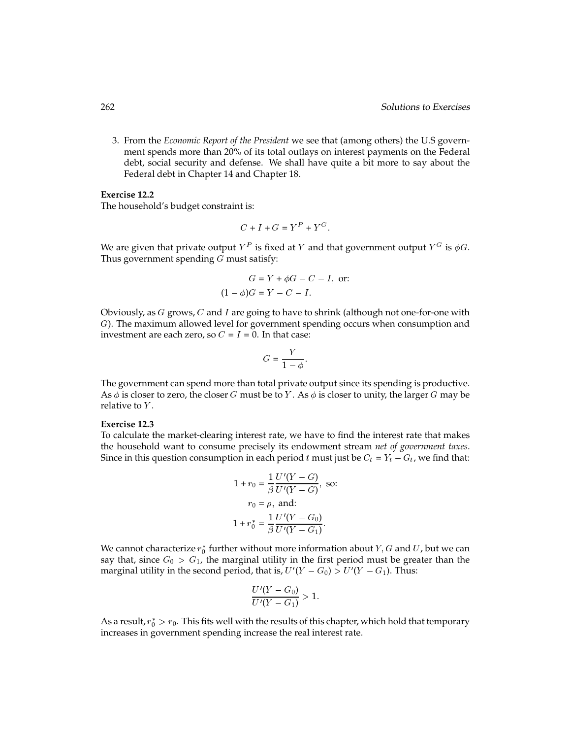3. From the *Economic Report of the President* we see that (among others) the U.S government spends more than 20% of its total outlays on interest payments on the Federal debt, social security and defense. We shall have quite a bit more to say about the Federal debt in Chapter 14 and Chapter 18.

# **Exercise 12.2**

The household's budget constraint is:

$$
C + I + G = Y^P + Y^G.
$$

We are given that private output  $Y^P$  is fixed at  $Y$  and that government output  $Y^G$  is  $\phi G$ . Thus government spending  $G$  must satisfy:

$$
G = Y + \phi G - C - I, \text{ or:}
$$

$$
(1 - \phi)G = Y - C - I.
$$

Obviously, as  $G$  grows,  $C$  and  $I$  are going to have to shrink (although not one-for-one with G). The maximum allowed level for government spending occurs when consumption and investment are each zero, so  $C = I = 0$ . In that case:

$$
G=\frac{Y}{1-\phi}.
$$

The government can spend more than total private output since its spending is productive. As  $\phi$  is closer to zero, the closer G must be to Y. As  $\phi$  is closer to unity, the larger G may be relative to  $Y$ .

### **Exercise 12.3**

To calculate the market-clearing interest rate, we have to find the interest rate that makes the household want to consume precisely its endowment stream *net of government taxes*. Since in this question consumption in each period t must just be  $C_t = Y_t - G_t$ , we find that:

$$
1 + r_0 = \frac{1}{\beta} \frac{U'(Y - G)}{U'(Y - G)}, \text{ so:}
$$
  
\n
$$
r_0 = \rho, \text{ and:}
$$
  
\n
$$
1 + r_0^* = \frac{1}{\beta} \frac{U'(Y - G_0)}{U'(Y - G_1)}.
$$

We cannot characterize  $r_0^*$  further without more information about  $Y,G$  and  $U$ , but we can say that, since  $G_0 > G_1$ , the marginal utility in the first period must be greater than the marginal utility in the second period, that is,  $U'(Y - G_0) > U'(Y - G_1)$ . Thus:

$$
\frac{U'(Y - G_0)}{U'(Y - G_1)} > 1.
$$

As a result,  $r_0^* > r_0.$  This fits well with the results of this chapter, which hold that temporary increases in government spending increase the real interest rate.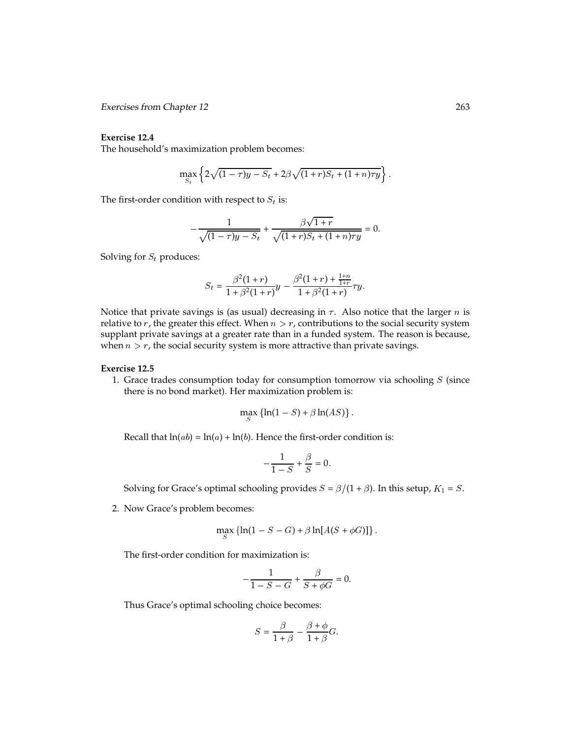Exercises from Chapter 12 263

# **Exercise 12.4**

The household's maximization problem becomes:

$$
\max_{S_t} \left\{ 2\sqrt{(1-\tau)y-S_t} + 2\beta\sqrt{(1+r)S_t + (1+n)\tau y} \right\}.
$$

The first-order condition with respect to  $S_t$  is:

$$
-\frac{1}{\sqrt{(1-\tau)y-S_t}}+\frac{\beta\sqrt{1+r}}{\sqrt{(1+r)S_t+(1+n)\tau y}}=0.
$$

Solving for  $S_t$  produces:

$$
S_t = \frac{\beta^2 (1+r)}{1+\beta^2 (1+r)} y - \frac{\beta^2 (1+r) + \frac{1+n}{1+r}}{1+\beta^2 (1+r)} \tau y.
$$

Notice that private savings is (as usual) decreasing in  $\tau$ . Also notice that the larger n is relative to  $r$ , the greater this effect. When  $n>r$ , contributions to the social security system supplant private savings at a greater rate than in a funded system. The reason is because, when  $n>r$ , the social security system is more attractive than private savings.

# **Exercise 12.5**

1. Grace trades consumption today for consumption tomorrow via schooling  $S$  (since there is no bond market). Her maximization problem is:

$$
\max_{S} \left\{ \ln(1-S) + \beta \ln(AS) \right\}.
$$

Recall that  $ln(ab) = ln(a) + ln(b)$ . Hence the first-order condition is:

$$
-\frac{1}{1-S}+\frac{\beta}{S}=0.
$$

Solving for Grace's optimal schooling provides  $S = \frac{\beta}{1 + \beta}$ . In this setup,  $K_1 = S$ .

2. Now Grace's problem becomes:

$$
\max_{S} \left\{ \ln(1 - S - G) + \beta \ln[A(S + \phi G)] \right\}.
$$

The first-order condition for maximization is:

$$
-\frac{1}{1-S-G} + \frac{\beta}{S+\phi G} = 0.
$$

Thus Grace's optimal schooling choice becomes:

$$
S = \frac{\beta}{1+\beta} - \frac{\beta+\phi}{1+\beta}G.
$$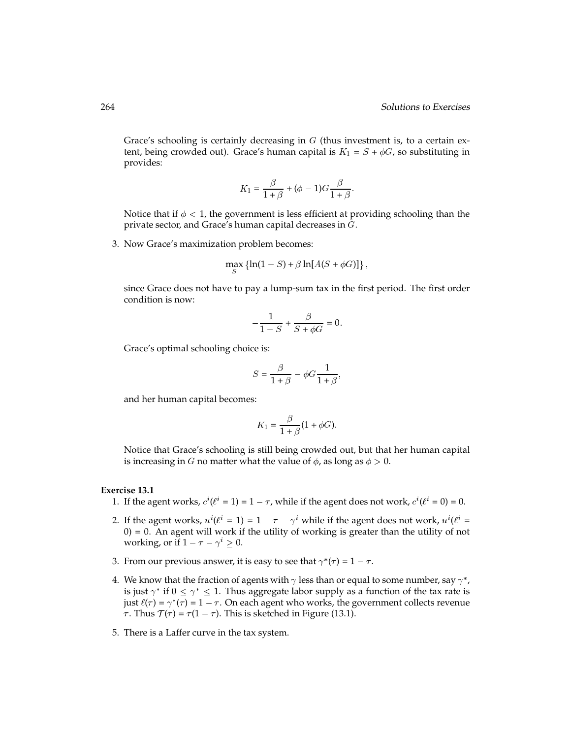Grace's schooling is certainly decreasing in  $G$  (thus investment is, to a certain extent, being crowded out). Grace's human capital is  $K_1 = S + \phi G$ , so substituting in provides:

$$
K_1 = \frac{\beta}{1+\beta} + (\phi - 1)G\frac{\beta}{1+\beta}.
$$

Notice that if  $\phi < 1$ , the government is less efficient at providing schooling than the private sector, and Grace's human capital decreases in  $G$ .

3. Now Grace's maximization problem becomes:

$$
\max_{S} \left\{ \ln(1-S) + \beta \ln[A(S + \phi G)] \right\},\
$$

since Grace does not have to pay a lump-sum tax in the first period. The first order condition is now:

$$
-\frac{1}{1-S}+\frac{\beta}{S+\phi G}=0.
$$

Grace's optimal schooling choice is:

$$
S=\frac{\beta}{1+\beta}-\phi G\frac{1}{1+\beta},
$$

and her human capital becomes:

$$
K_1 = \frac{\beta}{1+\beta}(1+\phi G).
$$

Notice that Grace's schooling is still being crowded out, but that her human capital is increasing in *G* no matter what the value of  $\phi$ , as long as  $\phi > 0$ .

### **Exercise 13.1**

- 1. If the agent works,  $c^i(\ell^i = 1) = 1 \tau$ , while if the agent does not work,  $c^i(\ell^i = 0) = 0$ .
- 2. If the agent works,  $u^i(\ell^i = 1) = 1 \tau \gamma^i$  while if the agent does not work,  $u^i(\ell^i =$  $0$ ) = 0. An agent will work if the utility of working is greater than the utility of not working, or if  $1 - \tau - \gamma^i \geq 0$ .
- 3. From our previous answer, it is easy to see that  $\gamma^*(\tau)$  = 1  $\tau.$
- 4. We know that the fraction of agents with  $\gamma$  less than or equal to some number, say  $\gamma^*$ , is just  $\gamma^*$  if  $0\leq \gamma^*\leq 1.$  Thus aggregate labor supply as a function of the tax rate is just  $\ell(\tau) = \gamma^*(\tau) = 1 - \tau$ . On each agent who works, the government collects revenue  $\tau$ . Thus  $\mathcal{T}(\tau) = \tau(1 - \tau)$ . This is sketched in Figure (13.1).
- 5. There is a Laffer curve in the tax system.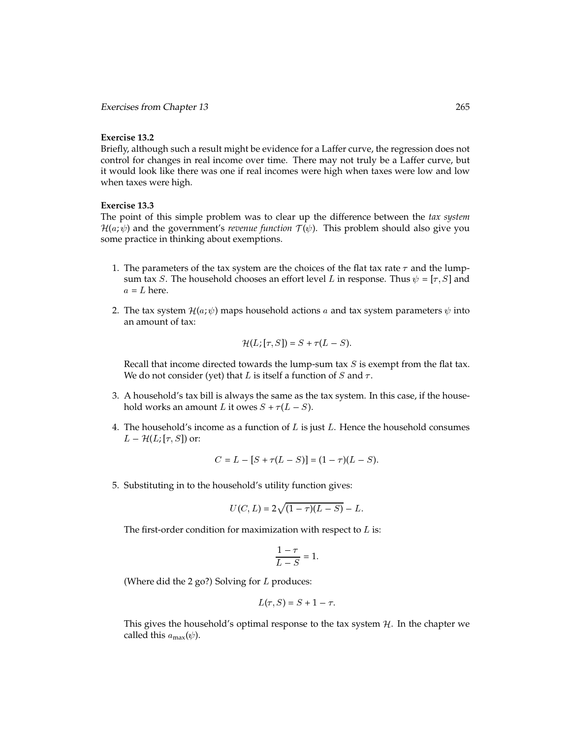# **Exercise 13.2**

Briefly, although such a result might be evidence for a Laffer curve, the regression does not control for changes in real income over time. There may not truly be a Laffer curve, but it would look like there was one if real incomes were high when taxes were low and low when taxes were high.

# **Exercise 13.3**

The point of this simple problem was to clear up the difference between the *tax system*  $\mathcal{H}(a, \psi)$  and the government's *revenue function*  $\mathcal{T}(\psi)$ . This problem should also give you some practice in thinking about exemptions.

- 1. The parameters of the tax system are the choices of the flat tax rate  $\tau$  and the lumpsum tax S. The household chooses an effort level L in response. Thus  $\psi = [\tau, S]$  and  $a = L$  here.
- 2. The tax system  $\mathcal{H}(a; \psi)$  maps household actions a and tax system parameters  $\psi$  into an amount of tax:

$$
\mathcal{H}(L; [\tau, S]) = S + \tau(L - S).
$$

Recall that income directed towards the lump-sum tax  $S$  is exempt from the flat tax. We do not consider (yet) that L is itself a function of S and  $\tau$ .

- 3. A household's tax bill is always the same as the tax system. In this case, if the household works an amount L it owes  $S + \tau(L - S)$ .
- 4. The household's income as a function of  $L$  is just  $L$ . Hence the household consumes  $L - \mathcal{H}(L; [\tau, S])$  or:

$$
C = L - [S + \tau(L - S)] = (1 - \tau)(L - S).
$$

5. Substituting in to the household's utility function gives:

$$
U(C, L) = 2\sqrt{(1 - \tau)(L - S)} - L.
$$

The first-order condition for maximization with respect to  $L$  is:

$$
\frac{1-\tau}{L-S}=1.
$$

(Where did the 2 go?) Solving for  $L$  produces:

$$
L(\tau, S) = S + 1 - \tau.
$$

This gives the household's optimal response to the tax system  $H$ . In the chapter we called this  $a_{\text{max}}(\psi)$ .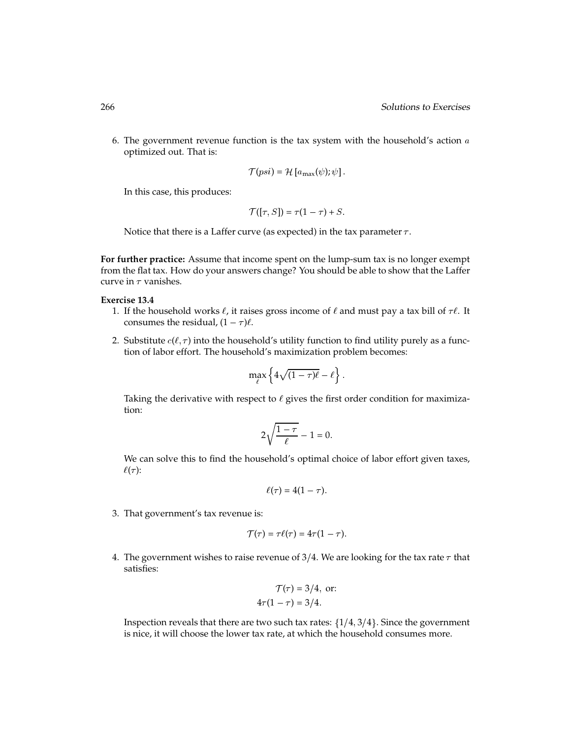6. The government revenue function is the tax system with the household's action  $a$ optimized out. That is:

$$
\mathcal{T}(psi) = \mathcal{H}\left[a_{\max}(\psi); \psi\right].
$$

In this case, this produces:

$$
\mathcal{T}([\tau, S]) = \tau(1 - \tau) + S.
$$

Notice that there is a Laffer curve (as expected) in the tax parameter  $\tau$ .

**For further practice:** Assume that income spent on the lump-sum tax is no longer exempt from the flat tax. How do your answers change? You should be able to show that the Laffer curve in  $\tau$  vanishes.

### **Exercise 13.4**

- 1. If the household works  $\ell$ , it raises gross income of  $\ell$  and must pay a tax bill of  $\tau \ell$ . It consumes the residual,  $(1 - \tau) \ell$ .
- 2. Substitute  $c(\ell, \tau)$  into the household's utility function to find utility purely as a function of labor effort. The household's maximization problem becomes:

$$
\max_{\ell} \left\{ 4\sqrt{(1-\tau)\ell} - \ell \right\}.
$$

Taking the derivative with respect to  $\ell$  gives the first order condition for maximization:

$$
2\sqrt{\frac{1-\tau}{\ell}}-1=0.
$$

We can solve this to find the household's optimal choice of labor effort given taxes,  $\ell(\tau)$ :

$$
\ell(\tau)=4(1-\tau).
$$

3. That government's tax revenue is:

$$
\mathcal{T}(\tau)=\tau\ell(\tau)=4\tau(1-\tau).
$$

4. The government wishes to raise revenue of 3/4. We are looking for the tax rate  $\tau$  that satisfies:

$$
\mathcal{T}(\tau) = 3/4
$$
, or:  
  $4\tau(1 - \tau) = 3/4$ .

Inspection reveals that there are two such tax rates:  $\{1/4, 3/4\}$ . Since the government is nice, it will choose the lower tax rate, at which the household consumes more.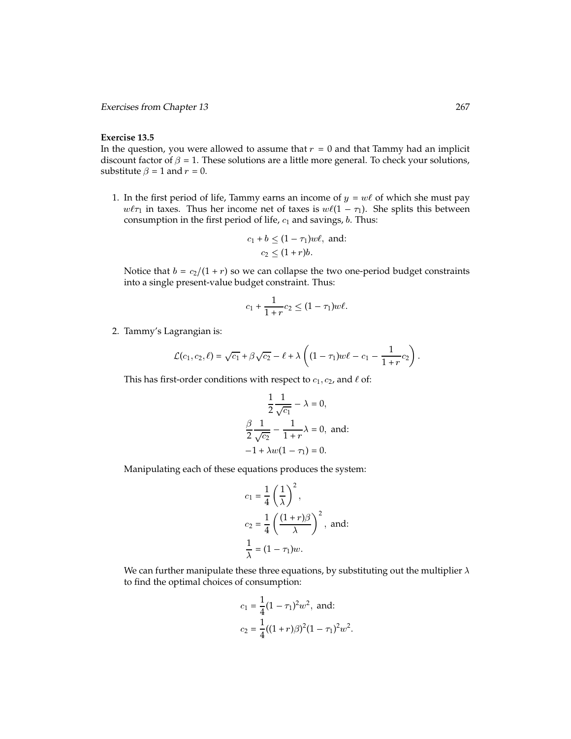# **Exercise 13.5**

In the question, you were allowed to assume that  $r = 0$  and that Tammy had an implicit discount factor of  $\beta = 1$ . These solutions are a little more general. To check your solutions, substitute  $\beta = 1$  and  $r = 0$ .

1. In the first period of life, Tammy earns an income of  $y = w\ell$  of which she must pay  $w\ell\tau_1$  in taxes. Thus her income net of taxes is  $w\ell(1 - \tau_1)$ . She splits this between consumption in the first period of life,  $c_1$  and savings,  $b$ . Thus:

$$
c_1 + b \le (1 - \tau_1) w\ell, \text{ and:}
$$
  

$$
c_2 \le (1 + r)b.
$$

Notice that  $b = c_2/(1 + r)$  so we can collapse the two one-period budget constraints into a single present-value budget constraint. Thus:

$$
c_1 + \frac{1}{1+r}c_2 \le (1-\tau_1)w\ell.
$$

2. Tammy's Lagrangian is:

$$
\mathcal{L}(c_1,c_2,\ell)=\sqrt{c_1}+\beta\sqrt{c_2}-\ell+\lambda\left((1-\tau_1)w\ell-c_1-\frac{1}{1+r}c_2\right).
$$

This has first-order conditions with respect to  $c_1, c_2$ , and  $\ell$  of:

$$
\frac{1}{2} \frac{1}{\sqrt{c_1}} - \lambda = 0,
$$
  

$$
\frac{\beta}{2} \frac{1}{\sqrt{c_2}} - \frac{1}{1+r} \lambda = 0, \text{ and:}
$$
  

$$
-1 + \lambda w (1 - \tau_1) = 0.
$$

Manipulating each of these equations produces the system:

$$
c_1 = \frac{1}{4} \left(\frac{1}{\lambda}\right)^2,
$$
  
\n
$$
c_2 = \frac{1}{4} \left(\frac{(1+r)\beta}{\lambda}\right)^2, \text{ and:}
$$
  
\n
$$
\frac{1}{\lambda} = (1 - \tau_1)w.
$$

We can further manipulate these three equations, by substituting out the multiplier  $\lambda$ to find the optimal choices of consumption:

$$
c_1 = \frac{1}{4}(1 - \tau_1)^2 w^2
$$
, and:  

$$
c_2 = \frac{1}{4}((1+r)\beta)^2(1 - \tau_1)^2 w^2
$$
.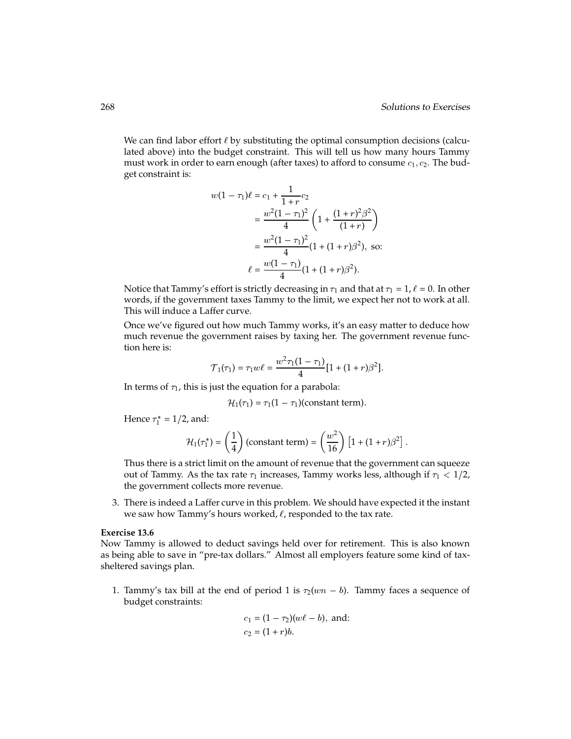We can find labor effort  $\ell$  by substituting the optimal consumption decisions (calculated above) into the budget constraint. This will tell us how many hours Tammy must work in order to earn enough (after taxes) to afford to consume  $c_1, c_2$ . The budget constraint is:

$$
w(1 - \tau_1)\ell = c_1 + \frac{1}{1+r}c_2
$$
  
= 
$$
\frac{w^2(1-\tau_1)^2}{4} \left(1 + \frac{(1+r)^2\beta^2}{(1+r)}\right)
$$
  
= 
$$
\frac{w^2(1-\tau_1)^2}{4}(1 + (1+r)\beta^2), \text{ so:}
$$
  

$$
\ell = \frac{w(1-\tau_1)}{4}(1 + (1+r)\beta^2).
$$

Notice that Tammy's effort is strictly decreasing in  $\tau_1$  and that at  $\tau_1 = 1$ ,  $\ell = 0$ . In other words, if the government taxes Tammy to the limit, we expect her not to work at all. This will induce a Laffer curve.

Once we've figured out how much Tammy works, it's an easy matter to deduce how much revenue the government raises by taxing her. The government revenue function here is:

$$
T_1(\tau_1) = \tau_1 w \ell = \frac{w^2 \tau_1 (1 - \tau_1)}{4} [1 + (1 + r) \beta^2].
$$

In terms of  $\tau_1$ , this is just the equation for a parabola:

$$
\mathcal{H}_1(\tau_1) = \tau_1(1 - \tau_1)(\text{constant term}).
$$

Hence  $\tau_1^* = 1/2$ , and:

$$
\mathcal{H}_1(\tau_1^*) = \left(\frac{1}{4}\right) \text{ (constant term)} = \left(\frac{w^2}{16}\right) \left[1 + (1+r)\beta^2\right].
$$

Thus there is a strict limit on the amount of revenue that the government can squeeze out of Tammy. As the tax rate  $\tau_1$  increases, Tammy works less, although if  $\tau_1 < 1/2$ , the government collects more revenue.

3. There is indeed a Laffer curve in this problem. We should have expected it the instant we saw how Tammy's hours worked,  $\ell$ , responded to the tax rate.

### **Exercise 13.6**

Now Tammy is allowed to deduct savings held over for retirement. This is also known as being able to save in "pre-tax dollars." Almost all employers feature some kind of taxsheltered savings plan.

1. Tammy's tax bill at the end of period 1 is  $\tau_2(wn - b)$ . Tammy faces a sequence of budget constraints:

$$
c_1 = (1 - \tau_2)(w\ell - b)
$$
, and:  
 $c_2 = (1 + r)b$ .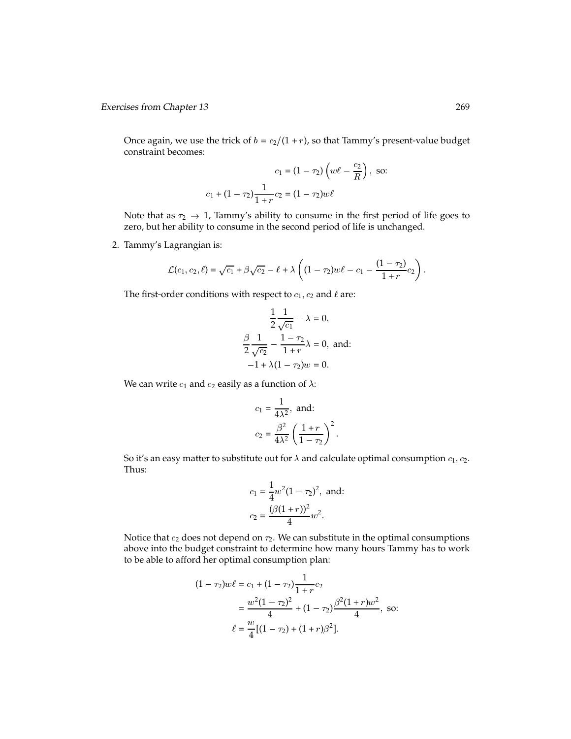Once again, we use the trick of  $b = c_2/(1 + r)$ , so that Tammy's present-value budget constraint becomes:

$$
c_1 = (1 - \tau_2) \left( w\ell - \frac{c_2}{R} \right), \text{ so:}
$$
  

$$
c_1 + (1 - \tau_2) \frac{1}{1 + r} c_2 = (1 - \tau_2) w\ell
$$

Note that as  $\tau_2 \to 1$ , Tammy's ability to consume in the first period of life goes to zero, but her ability to consume in the second period of life is unchanged.

2. Tammy's Lagrangian is:

$$
\mathcal{L}(c_1, c_2, \ell) = \sqrt{c_1} + \beta \sqrt{c_2} - \ell + \lambda \left( (1 - \tau_2) w \ell - c_1 - \frac{(1 - \tau_2)}{1 + r} c_2 \right).
$$

The first-order conditions with respect to  $c_1, c_2$  and  $\ell$  are:

$$
\frac{1}{2} \frac{1}{\sqrt{c_1}} - \lambda = 0,
$$
  

$$
\frac{\beta}{2} \frac{1}{\sqrt{c_2}} - \frac{1 - \tau_2}{1 + r} \lambda = 0, \text{ and:}
$$
  

$$
-1 + \lambda (1 - \tau_2) w = 0.
$$

We can write  $c_1$  and  $c_2$  easily as a function of  $\lambda$ :

$$
c_1 = \frac{1}{4\lambda^2}, \text{ and:}
$$
  

$$
c_2 = \frac{\beta^2}{4\lambda^2} \left(\frac{1+r}{1-\tau_2}\right)^2.
$$

So it's an easy matter to substitute out for  $\lambda$  and calculate optimal consumption  $c_1, c_2$ . Thus:

$$
c_1 = \frac{1}{4}w^2(1 - \tau_2)^2, \text{ and:}
$$
  

$$
c_2 = \frac{(\beta(1+r))^2}{4}w^2.
$$

Notice that  $c_2$  does not depend on  $\tau_2$ . We can substitute in the optimal consumptions above into the budget constraint to determine how many hours Tammy has to work to be able to afford her optimal consumption plan:

$$
(1 - \tau_2) w\ell = c_1 + (1 - \tau_2) \frac{1}{1 + r} c_2
$$
  
=  $\frac{w^2 (1 - \tau_2)^2}{4} + (1 - \tau_2) \frac{\beta^2 (1 + r) w^2}{4}$ , so:  

$$
\ell = \frac{w}{4} [(1 - \tau_2) + (1 + r) \beta^2].
$$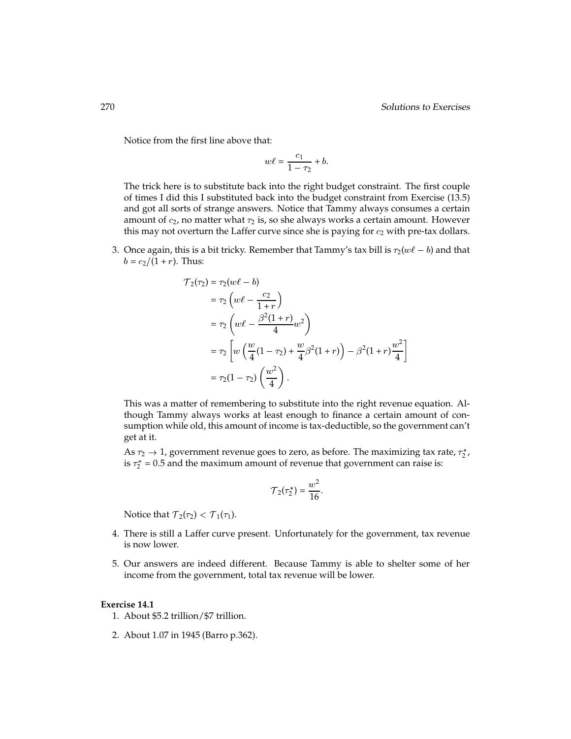Notice from the first line above that:

$$
w\ell = \frac{c_1}{1 - \tau_2} + b.
$$

The trick here is to substitute back into the right budget constraint. The first couple of times I did this I substituted back into the budget constraint from Exercise (13.5) and got all sorts of strange answers. Notice that Tammy always consumes a certain amount of  $c_2$ , no matter what  $\tau_2$  is, so she always works a certain amount. However this may not overturn the Laffer curve since she is paying for  $c_2$  with pre-tax dollars.

3. Once again, this is a bit tricky. Remember that Tammy's tax bill is  $\tau_2(w\ell - b)$  and that  $b = c_2/(1 + r)$ . Thus:

$$
\begin{aligned}\n\mathcal{T}_2(\tau_2) &= \tau_2 (w\ell - b) \\
&= \tau_2 \left( w\ell - \frac{c_2}{1+r} \right) \\
&= \tau_2 \left( w\ell - \frac{\beta^2 (1+r)}{4} w^2 \right) \\
&= \tau_2 \left[ w \left( \frac{w}{4} (1-\tau_2) + \frac{w}{4} \beta^2 (1+r) \right) - \beta^2 (1+r) \frac{w^2}{4} \right] \\
&= \tau_2 (1-\tau_2) \left( \frac{w^2}{4} \right).\n\end{aligned}
$$

This was a matter of remembering to substitute into the right revenue equation. Although Tammy always works at least enough to finance a certain amount of consumption while old, this amount of income is tax-deductible, so the government can't get at it.

As  $\tau_2 \rightarrow 1$ , government revenue goes to zero, as before. The maximizing tax rate,  $\tau_2^*$ , is  $\tau_2^* = 0.5$  and the maximum amount of revenue that government can raise is:

$$
\mathcal{T}_2(\tau_2^*)=\frac{w^2}{16}.
$$

Notice that  $\mathcal{T}_2(\tau_2) < \mathcal{T}_1(\tau_1)$ .

- 4. There is still a Laffer curve present. Unfortunately for the government, tax revenue is now lower.
- 5. Our answers are indeed different. Because Tammy is able to shelter some of her income from the government, total tax revenue will be lower.

### **Exercise 14.1**

- 1. About \$5.2 trillion/\$7 trillion.
- 2. About 1.07 in 1945 (Barro p.362).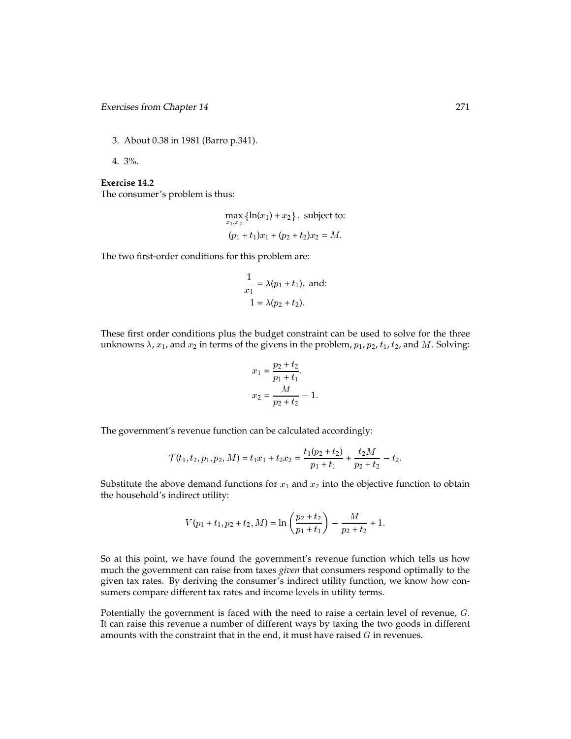3. About 0.38in 1981 (Barro p.341).

4. 3%.

**Exercise 14.2** The consumer's problem is thus:

$$
\max_{x_1, x_2} \{ \ln(x_1) + x_2 \}, \text{ subject to:}
$$

$$
(p_1 + t_1)x_1 + (p_2 + t_2)x_2 = M.
$$

The two first-order conditions for this problem are:

$$
\frac{1}{x_1} = \lambda(p_1 + t_1), \text{ and:}
$$

$$
1 = \lambda(p_2 + t_2).
$$

These first order conditions plus the budget constraint can be used to solve for the three unknowns  $\lambda$ ,  $x_1$ , and  $x_2$  in terms of the givens in the problem,  $p_1$ ,  $p_2$ ,  $t_1$ ,  $t_2$ , and M. Solving:

$$
x_1 = \frac{p_2 + t_2}{p_1 + t_1}.
$$
  

$$
x_2 = \frac{M}{p_2 + t_2} - 1.
$$

The government's revenue function can be calculated accordingly:

$$
\mathcal{T}(t_1, t_2, p_1, p_2, M) = t_1 x_1 + t_2 x_2 = \frac{t_1 (p_2 + t_2)}{p_1 + t_1} + \frac{t_2 M}{p_2 + t_2} - t_2.
$$

Substitute the above demand functions for  $x_1$  and  $x_2$  into the objective function to obtain the household's indirect utility:

$$
V(p_1 + t_1, p_2 + t_2, M) = \ln\left(\frac{p_2 + t_2}{p_1 + t_1}\right) - \frac{M}{p_2 + t_2} + 1.
$$

So at this point, we have found the government's revenue function which tells us how much the government can raise from taxes *given* that consumers respond optimally to the given tax rates. By deriving the consumer's indirect utility function, we know how consumers compare different tax rates and income levels in utility terms.

Potentially the government is faced with the need to raise a certain level of revenue, G. It can raise this revenue a number of different ways by taxing the two goods in different amounts with the constraint that in the end, it must have raised  $G$  in revenues.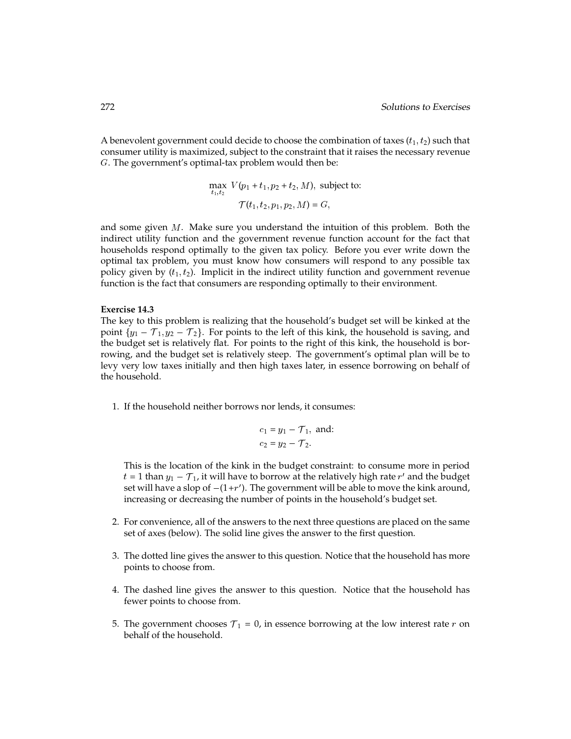A benevolent government could decide to choose the combination of taxes  $(t_1, t_2)$  such that consumer utility is maximized, subject to the constraint that it raises the necessary revenue G. The government's optimal-tax problem would then be:

> $\max_{t_1, t_2} V(p_1 + t_1, p_2 + t_2, M)$ , subject to:  $\mathcal{T}(t_1, t_2, p_1, p_2, M) = G,$

and some given  $M$ . Make sure you understand the intuition of this problem. Both the indirect utility function and the government revenue function account for the fact that households respond optimally to the given tax policy. Before you ever write down the optimal tax problem, you must know how consumers will respond to any possible tax policy given by  $(t_1, t_2)$ . Implicit in the indirect utility function and government revenue function is the fact that consumers are responding optimally to their environment.

### **Exercise 14.3**

The key to this problem is realizing that the household's budget set will be kinked at the point  $\{y_1 - \mathcal{T}_1, y_2 - \mathcal{T}_2\}$ . For points to the left of this kink, the household is saving, and the budget set is relatively flat. For points to the right of this kink, the household is borrowing, and the budget set is relatively steep. The government's optimal plan will be to levy very low taxes initially and then high taxes later, in essence borrowing on behalf of the household.

1. If the household neither borrows nor lends, it consumes:

$$
c_1 = y_1 - \mathcal{T}_1
$$
, and:  

$$
c_2 = y_2 - \mathcal{T}_2
$$
.

This is the location of the kink in the budget constraint: to consume more in period  $t$  = 1 than  $y_1 - {\cal T}_1$ , it will have to borrow at the relatively high rate  $r'$  and the budget set will have a slop of  $-(1+r^{\prime}).$  The government will be able to move the kink around, increasing or decreasing the number of points in the household's budget set.

- 2. For convenience, all of the answers to the next three questions are placed on the same set of axes (below). The solid line gives the answer to the first question.
- 3. The dotted line gives the answer to this question. Notice that the household has more points to choose from.
- 4. The dashed line gives the answer to this question. Notice that the household has fewer points to choose from.
- 5. The government chooses  $T_1 = 0$ , in essence borrowing at the low interest rate r on behalf of the household.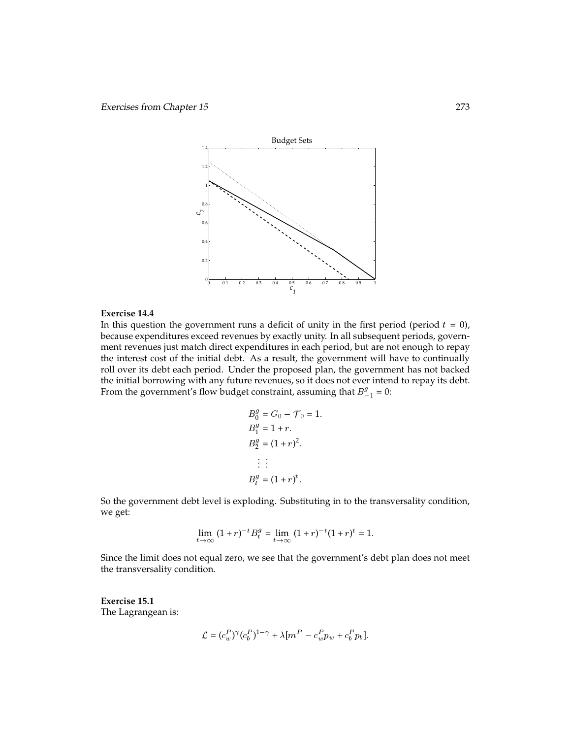

## **Exercise 14.4**

In this question the government runs a deficit of unity in the first period (period  $t = 0$ ), because expenditures exceed revenues by exactly unity. In all subsequent periods, government revenues just match direct expenditures in each period, but are not enough to repay the interest cost of the initial debt. As a result, the government will have to continually roll over its debt each period. Under the proposed plan, the government has not backed the initial borrowing with any future revenues, so it does not ever intend to repay its debt. From the government's flow budget constraint, assuming that  $B_{-1}^g = 0$ :

$$
B_0^g = G_0 - T_0 = 1.
$$
  
\n
$$
B_1^g = 1 + r.
$$
  
\n
$$
B_2^g = (1 + r)^2.
$$
  
\n
$$
\vdots
$$
  
\n
$$
B_t^g = (1 + r)^t.
$$

So the government debt level is exploding. Substituting in to the transversality condition, we get:

$$
\lim_{t \to \infty} (1+r)^{-t} B_t^g = \lim_{t \to \infty} (1+r)^{-t} (1+r)^t = 1.
$$

Since the limit does not equal zero, we see that the government's debt plan does not meet the transversality condition.

**Exercise 15.1** The Lagrangean is:

$$
\mathcal{L} = (c_w^P)^\gamma (c_b^P)^{1-\gamma} + \lambda [m^P - c_w^P p_w + c_b^P p_b].
$$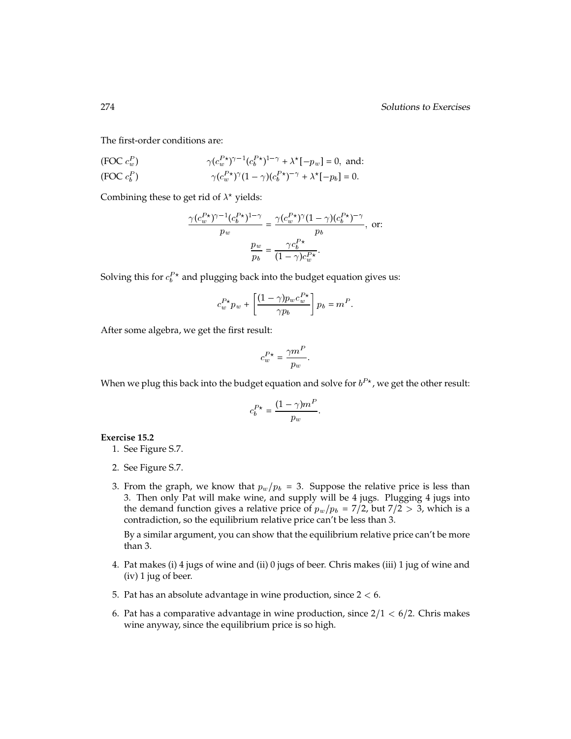The first-order conditions are:

(FOC 
$$
c_w^P
$$
)  
\n
$$
\gamma(c_w^{P*})^{\gamma-1}(c_b^{P*})^{1-\gamma} + \lambda^*[{-p_w}] = 0, \text{ and:}
$$
\n(FOC  $c_b^P$ )  
\n
$$
\gamma(c_w^{P*})^{\gamma}(1-\gamma)(c_b^{P*})^{-\gamma} + \lambda^*[{-p_b}] = 0.
$$

Combining these to get rid of  $\lambda^*$  yields:

$$
\frac{\gamma(c_w^{P*})^{\gamma-1}(c_b^{P*})^{1-\gamma}}{p_w} = \frac{\gamma(c_w^{P*})^{\gamma}(1-\gamma)(c_b^{P*})^{-\gamma}}{p_b}, \text{ or:}
$$

$$
\frac{p_w}{p_b} = \frac{\gamma c_b^{P*}}{(1-\gamma)c_w^{P*}}.
$$

Solving this for  $c^{P\,\star}_b$  and plugging back into the budget equation gives us:

$$
c_w^{P*} p_w + \left[ \frac{(1 - \gamma) p_w c_w^{P*}}{\gamma p_b} \right] p_b = m^P.
$$

After some algebra, we get the first result:

$$
c_w^{P\star} = \frac{\gamma m^P}{p_w}.
$$

When we plug this back into the budget equation and solve for  $b^{P*}$ , we get the other result:

$$
c_b^{P\star} = \frac{(1-\gamma)m^P}{p_w}.
$$

# **Exercise 15.2**

- 1. See Figure S.7.
- 2. See Figure S.7.
- 3. From the graph, we know that  $p_w/p_b = 3$ . Suppose the relative price is less than 3. Then only Pat will make wine, and supply will be 4 jugs. Plugging 4 jugs into the demand function gives a relative price of  $p_w/p_b = 7/2$ , but  $7/2 > 3$ , which is a contradiction, so the equilibrium relative price can't be less than 3.

By a similar argument, you can show that the equilibrium relative price can't be more than 3.

- 4. Pat makes (i) 4 jugs of wine and (ii) 0 jugs of beer. Chris makes (iii) 1 jug of wine and (iv) 1 jug of beer.
- 5. Pat has an absolute advantage in wine production, since  $2 < 6$ .
- 6. Pat has a comparative advantage in wine production, since  $2/1 < 6/2$ . Chris makes wine anyway, since the equilibrium price is so high.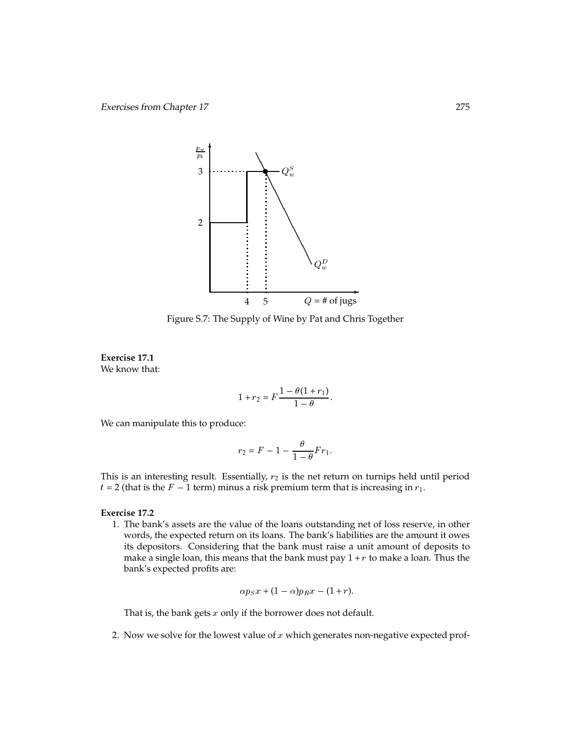

Figure S.7: The Supply of Wine by Pat and Chris Together

# **Exercise 17.1** We know that:

$$
1 + r_2 = F \frac{1 - \theta(1 + r_1)}{1 - \theta}.
$$

We can manipulate this to produce:

$$
r_2 = F - 1 - \frac{\theta}{1 - \theta} Fr_1.
$$

This is an interesting result. Essentially,  $r_2$  is the net return on turnips held until period  $t = 2$  (that is the  $F - 1$  term) minus a risk premium term that is increasing in  $r_1$ .

# **Exercise 17.2**

1. The bank's assets are the value of the loans outstanding net of loss reserve, in other words, the expected return on its loans. The bank's liabilities are the amount it owes its depositors. Considering that the bank must raise a unit amount of deposits to make a single loan, this means that the bank must pay  $1 + r$  to make a loan. Thus the bank's expected profits are:

$$
\alpha p_S x + (1 - \alpha) p_R x - (1 + r).
$$

That is, the bank gets  $x$  only if the borrower does not default.

2. Now we solve for the lowest value of  $x$  which generates non-negative expected prof-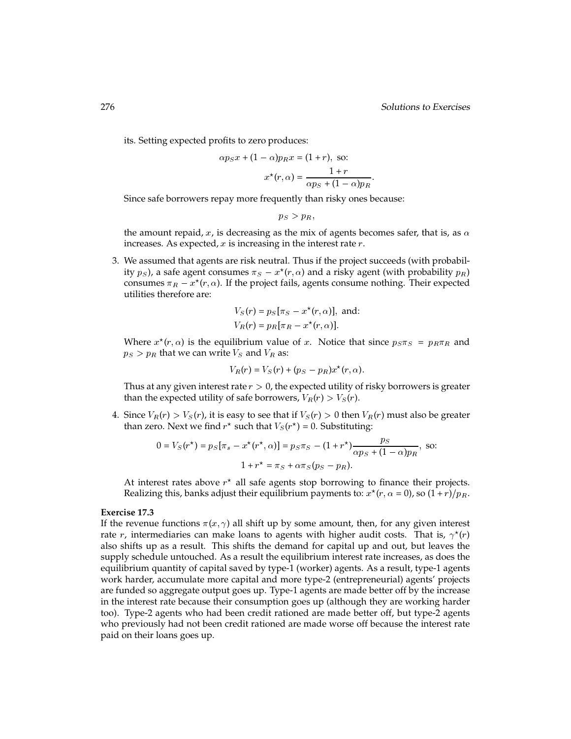its. Setting expected profits to zero produces:

$$
\alpha p_S x + (1 - \alpha) p_R x = (1 + r), \text{ so:}
$$

$$
x^*(r, \alpha) = \frac{1 + r}{\alpha p_S + (1 - \alpha) p_R}.
$$

Since safe borrowers repay more frequently than risky ones because:

$$
p_S > p_R,
$$

the amount repaid, x, is decreasing as the mix of agents becomes safer, that is, as  $\alpha$ increases. As expected,  $x$  is increasing in the interest rate  $r$ .

3. We assumed that agents are risk neutral. Thus if the project succeeds (with probability  $p_S$ ), a safe agent consumes  $\pi_S - x^*(r, \alpha)$  and a risky agent (with probability  $p_R$ ) consumes  $\pi_R - x^*(r, \alpha)$ . If the project fails, agents consume nothing. Their expected utilities therefore are:

$$
V_S(r) = p_S[\pi_S - x^*(r, \alpha)], \text{ and:}
$$
  

$$
V_R(r) = p_R[\pi_R - x^*(r, \alpha)].
$$

Where  $x^*(r, \alpha)$  is the equilibrium value of x. Notice that since  $p_S \pi_S = p_R \pi_R$  and  $p_S > p_R$  that we can write  $V_S$  and  $V_R$  as:

$$
V_R(r) = V_S(r) + (p_S - p_R)x^*(r, \alpha).
$$

Thus at any given interest rate  $r > 0$ , the expected utility of risky borrowers is greater than the expected utility of safe borrowers,  $V_R(r) > V_S(r)$ .

4. Since  $V_R(r) > V_S(r)$ , it is easy to see that if  $V_S(r) > 0$  then  $V_R(r)$  must also be greater than zero. Next we find  $r^{\star}$  such that  $V_S(r^{\star})$  = 0. Substituting:

$$
0 = V_S(r^*) = p_S[\pi_s - x^*(r^*, \alpha)] = p_S \pi_S - (1 + r^*) \frac{p_S}{\alpha p_S + (1 - \alpha)p_R}, \text{ so:}
$$
  

$$
1 + r^* = \pi_S + \alpha \pi_S (p_S - p_R).
$$

At interest rates above  $r^*$  all safe agents stop borrowing to finance their projects. Realizing this, banks adjust their equilibrium payments to:  $x^*(r, \alpha = 0)$ , so  $(1 + r)/p_R$ .

# **Exercise 17.3**

If the revenue functions  $\pi(x, \gamma)$  all shift up by some amount, then, for any given interest rate r, intermediaries can make loans to agents with higher audit costs. That is,  $\gamma^{\star}(r)$ also shifts up as a result. This shifts the demand for capital up and out, but leaves the supply schedule untouched. As a result the equilibrium interest rate increases, as does the equilibrium quantity of capital saved by type-1 (worker) agents. As a result, type-1 agents work harder, accumulate more capital and more type-2 (entrepreneurial) agents' projects are funded so aggregate output goes up. Type-1 agents are made better off by the increase in the interest rate because their consumption goes up (although they are working harder too). Type-2 agents who had been credit rationed are made better off, but type-2 agents who previously had not been credit rationed are made worse off because the interest rate paid on their loans goes up.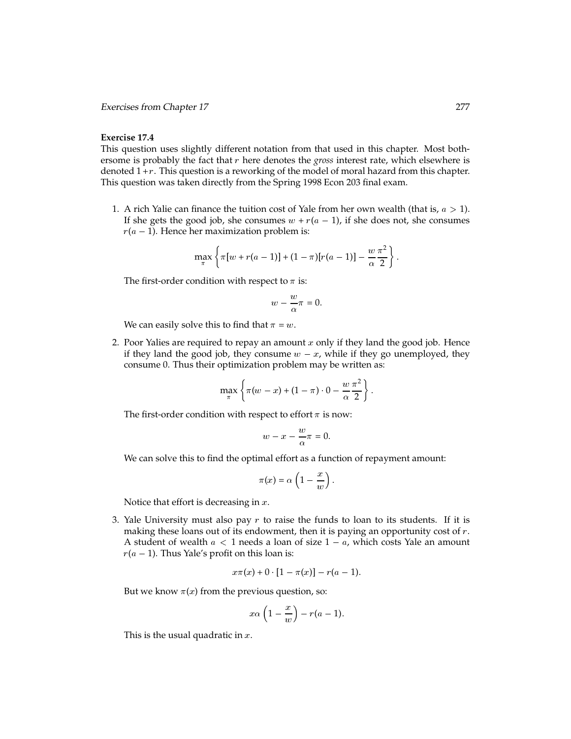# **Exercise 17.4**

This question uses slightly different notation from that used in this chapter. Most bothersome is probably the fact that r here denotes the *gross* interest rate, which elsewhere is denoted  $1 + r$ . This question is a reworking of the model of moral hazard from this chapter. This question was taken directly from the Spring 1998 Econ 203 final exam.

1. A rich Yalie can finance the tuition cost of Yale from her own wealth (that is,  $a > 1$ ). If she gets the good job, she consumes  $w + r(a - 1)$ , if she does not, she consumes  $r(a - 1)$ . Hence her maximization problem is:

$$
\max_{\pi}\left\{\pi[w+r(a-1)]+(1-\pi)[r(a-1)]-\frac{w\pi^2}{\alpha}\right\}.
$$

The first-order condition with respect to  $\pi$  is:

$$
w - \frac{w}{\alpha}\pi = 0.
$$

We can easily solve this to find that  $\pi = w$ .

2. Poor Yalies are required to repay an amount  $x$  only if they land the good job. Hence if they land the good job, they consume  $w - x$ , while if they go unemployed, they consume 0. Thus their optimization problem may be written as:

$$
\max_{\pi}\left\{\pi(w-x)+(1-\pi)\cdot 0-\frac{w}{\alpha}\frac{\pi^2}{2}\right\}.
$$

The first-order condition with respect to effort  $\pi$  is now:

$$
w-x-\frac{w}{\alpha}\pi=0.
$$

We can solve this to find the optimal effort as a function of repayment amount:

$$
\pi(x) = \alpha \left( 1 - \frac{x}{w} \right).
$$

Notice that effort is decreasing in  $x$ .

3. Yale University must also pay  $r$  to raise the funds to loan to its students. If it is making these loans out of its endowment, then it is paying an opportunity cost of  $r$ . A student of wealth  $a < 1$  needs a loan of size  $1 - a$ , which costs Yale an amount  $r(a - 1)$ . Thus Yale's profit on this loan is:

$$
x\pi(x) + 0 \cdot [1 - \pi(x)] - r(a-1).
$$

But we know  $\pi(x)$  from the previous question, so:

$$
x\alpha\left(1-\frac{x}{w}\right)-r(a-1).
$$

This is the usual quadratic in  $x$ .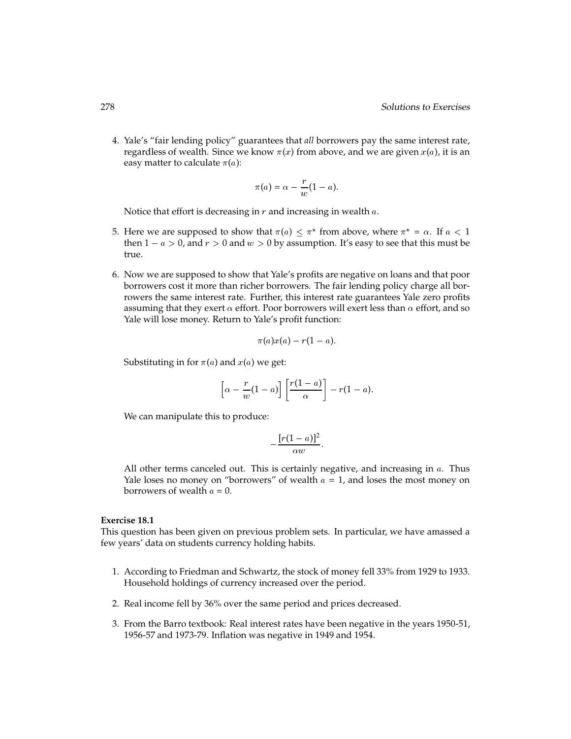4. Yale's "fair lending policy" guarantees that *all* borrowers pay the same interest rate, regardless of wealth. Since we know  $\pi(x)$  from above, and we are given  $x(a)$ , it is an easy matter to calculate  $\pi(a)$ :

$$
\pi(a)=\alpha-\frac{r}{w}(1-a).
$$

Notice that effort is decreasing in  $r$  and increasing in wealth  $a$ .

- 5. Here we are supposed to show that  $\pi(a) \leq \pi^*$  from above, where  $\pi^* = \alpha$ . If  $a < 1$ then  $1 - a > 0$ , and  $r > 0$  and  $w > 0$  by assumption. It's easy to see that this must be true.
- 6. Now we are supposed to show that Yale's profits are negative on loans and that poor borrowers cost it more than richer borrowers. The fair lending policy charge all borrowers the same interest rate. Further, this interest rate guarantees Yale zero profits assuming that they exert  $\alpha$  effort. Poor borrowers will exert less than  $\alpha$  effort, and so Yale will lose money. Return to Yale's profit function:

$$
\pi(a)x(a) - r(1-a).
$$

Substituting in for  $\pi(a)$  and  $x(a)$  we get:

$$
\left[\alpha-\frac{r}{w}(1-a)\right]\left[\frac{r(1-a)}{\alpha}\right]-r(1-a).
$$

We can manipulate this to produce:

$$
-\frac{[r(1-a)]^2}{\alpha w}.
$$

All other terms canceled out. This is certainly negative, and increasing in  $a$ . Thus Yale loses no money on "borrowers" of wealth  $a = 1$ , and loses the most money on borrowers of wealth  $a = 0$ .

# **Exercise 18.1**

This question has been given on previous problem sets. In particular, we have amassed a few years' data on students currency holding habits.

- 1. According to Friedman and Schwartz, the stock of money fell 33% from 1929 to 1933. Household holdings of currency increased over the period.
- 2. Real income fell by 36% over the same period and prices decreased.
- 3. From the Barro textbook: Real interest rates have been negative in the years 1950-51, 1956-57 and 1973-79. Inflation was negative in 1949 and 1954.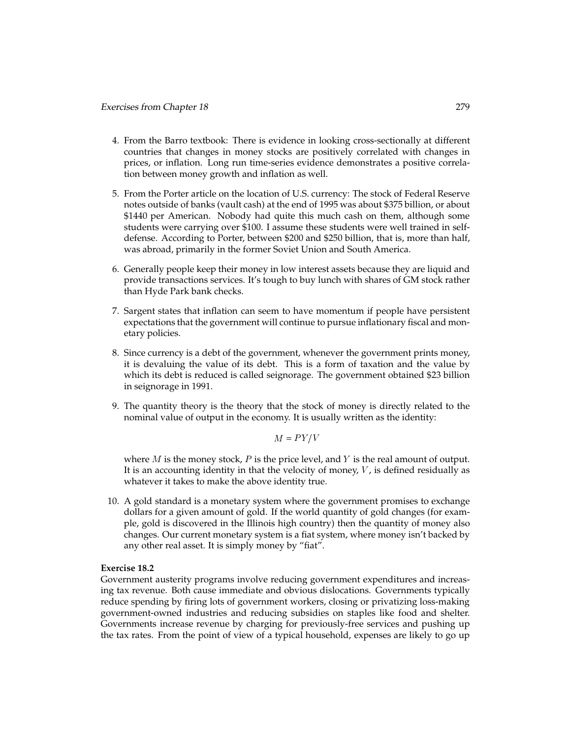- 4. From the Barro textbook: There is evidence in looking cross-sectionally at different countries that changes in money stocks are positively correlated with changes in prices, or inflation. Long run time-series evidence demonstrates a positive correlation between money growth and inflation as well.
- 5. From the Porter article on the location of U.S. currency: The stock of Federal Reserve notes outside of banks (vault cash) at the end of 1995 was about \$375 billion, or about \$1440 per American. Nobody had quite this much cash on them, although some students were carrying over \$100. I assume these students were well trained in selfdefense. According to Porter, between \$200 and \$250 billion, that is, more than half, was abroad, primarily in the former Soviet Union and South America.
- 6. Generally people keep their money in low interest assets because they are liquid and provide transactions services. It's tough to buy lunch with shares of GM stock rather than Hyde Park bank checks.
- 7. Sargent states that inflation can seem to have momentum if people have persistent expectations that the government will continue to pursue inflationary fiscal and monetary policies.
- 8. Since currency is a debt of the government, whenever the government prints money, it is devaluing the value of its debt. This is a form of taxation and the value by which its debt is reduced is called seignorage. The government obtained \$23 billion in seignorage in 1991.
- 9. The quantity theory is the theory that the stock of money is directly related to the nominal value of output in the economy. It is usually written as the identity:

$$
M = PY/V
$$

where  $M$  is the money stock,  $P$  is the price level, and  $Y$  is the real amount of output. It is an accounting identity in that the velocity of money,  $V$ , is defined residually as whatever it takes to make the above identity true.

10. A gold standard is a monetary system where the government promises to exchange dollars for a given amount of gold. If the world quantity of gold changes (for example, gold is discovered in the Illinois high country) then the quantity of money also changes. Our current monetary system is a fiat system, where money isn't backed by any other real asset. It is simply money by "fiat".

### **Exercise 18.2**

Government austerity programs involve reducing government expenditures and increasing tax revenue. Both cause immediate and obvious dislocations. Governments typically reduce spending by firing lots of government workers, closing or privatizing loss-making government-owned industries and reducing subsidies on staples like food and shelter. Governments increase revenue by charging for previously-free services and pushing up the tax rates. From the point of view of a typical household, expenses are likely to go up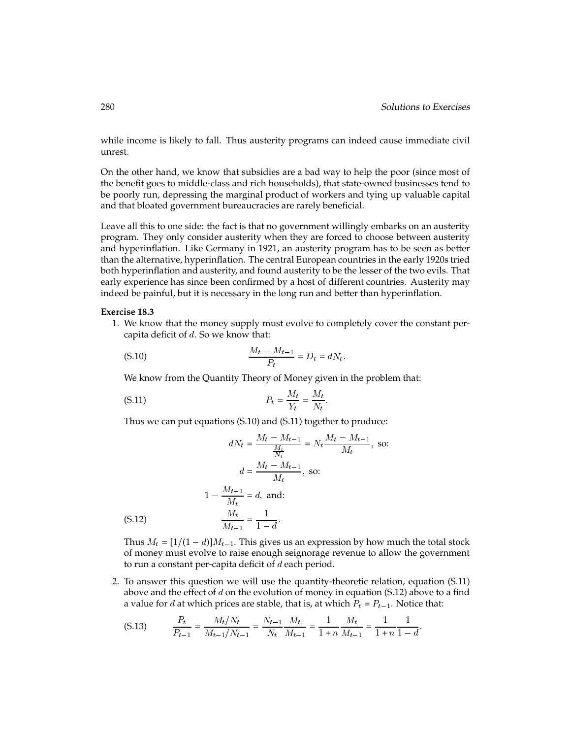while income is likely to fall. Thus austerity programs can indeed cause immediate civil unrest.

On the other hand, we know that subsidies are a bad way to help the poor (since most of the benefit goes to middle-class and rich households), that state-owned businesses tend to be poorly run, depressing the marginal product of workers and tying up valuable capital and that bloated government bureaucracies are rarely beneficial.

Leave all this to one side: the fact is that no government willingly embarks on an austerity program. They only consider austerity when they are forced to choose between austerity and hyperinflation. Like Germany in 1921, an austerity program has to be seen as better than the alternative, hyperinflation. The central European countries in the early 1920s tried both hyperinflation and austerity, and found austerity to be the lesser of the two evils. That early experience has since been confirmed by a host of different countries. Austerity may indeed be painful, but it is necessary in the long run and better than hyperinflation.

### **Exercise 18.3**

1. We know that the money supply must evolve to completely cover the constant percapita deficit of  $d$ . So we know that:

(S.10) 
$$
\frac{M_t - M_{t-1}}{P_t} = D_t = dN_t.
$$

We know from the Quantity Theory of Money given in the problem that:

$$
(S.11) \t\t\t P_t = \frac{M_t}{Y_t} = \frac{M_t}{N_t}.
$$

Thus we can put equations (S.10) and (S.11) together to produce:

$$
dN_t = \frac{M_t - M_{t-1}}{\frac{M_t}{N_t}} = N_t \frac{M_t - M_{t-1}}{M_t}, \text{ so:}
$$

$$
d = \frac{M_t - M_{t-1}}{M_t}, \text{ so:}
$$

$$
1 - \frac{M_{t-1}}{M_t} = d, \text{ and:}
$$

$$
(S.12) \qquad \frac{M_t}{M_{t-1}} = \frac{1}{1 - d}.
$$

Thus  $M_t = [1/(1 - d)]M_{t-1}$ . This gives us an expression by how much the total stock of money must evolve to raise enough seignorage revenue to allow the government to run a constant per-capita deficit of  $d$  each period.

2. To answer this question we will use the quantity-theoretic relation, equation (S.11) above and the effect of d on the evolution of money in equation  $(S.12)$  above to a find a value for *d* at which prices are stable, that is, at which  $P_t = P_{t-1}$ . Notice that:

$$
(S.13) \qquad \frac{P_t}{P_{t-1}} = \frac{M_t/N_t}{M_{t-1}/N_{t-1}} = \frac{N_{t-1}}{N_t} \frac{M_t}{M_{t-1}} = \frac{1}{1+n} \frac{M_t}{M_{t-1}} = \frac{1}{1+n} \frac{1}{1-d}.
$$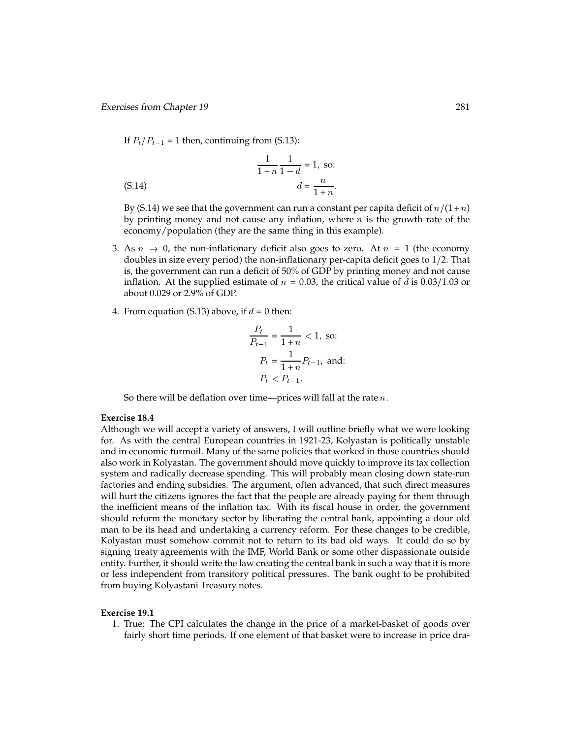If  $P_t/P_{t-1} = 1$  then, continuing from (S.13):

(5.14) 
$$
\frac{1}{1+n} \frac{1}{1-d} = 1, \text{ so:}
$$

$$
d = \frac{n}{1+n}.
$$

By (S.14) we see that the government can run a constant per capita deficit of  $n/(1 + n)$ by printing money and not cause any inflation, where  $n$  is the growth rate of the economy/population (they are the same thing in this example).

- 3. As  $n \to 0$ , the non-inflationary deficit also goes to zero. At  $n = 1$  (the economy doubles in size every period) the non-inflationary per-capita deficit goes to  $1/2$ . That is, the government can run a deficit of 50% of GDP by printing money and not cause inflation. At the supplied estimate of  $n = 0.03$ , the critical value of d is  $0.03/1.03$  or about 0.029 or 2.9% of GDP.
- 4. From equation (S.13) above, if  $d = 0$  then:

$$
\frac{P_t}{P_{t-1}} = \frac{1}{1+n} < 1, \text{ so:}
$$
\n
$$
P_t = \frac{1}{1+n} P_{t-1}, \text{ and:}
$$
\n
$$
P_t < P_{t-1}.
$$

So there will be deflation over time—prices will fall at the rate  $n$ .

### **Exercise 18.4**

Although we will accept a variety of answers, I will outline briefly what we were looking for. As with the central European countries in 1921-23, Kolyastan is politically unstable and in economic turmoil. Many of the same policies that worked in those countries should also work in Kolyastan. The government should move quickly to improve its tax collection system and radically decrease spending. This will probably mean closing down state-run factories and ending subsidies. The argument, often advanced, that such direct measures will hurt the citizens ignores the fact that the people are already paying for them through the inefficient means of the inflation tax. With its fiscal house in order, the government should reform the monetary sector by liberating the central bank, appointing a dour old man to be its head and undertaking a currency reform. For these changes to be credible, Kolyastan must somehow commit not to return to its bad old ways. It could do so by signing treaty agreements with the IMF, World Bank or some other dispassionate outside entity. Further, it should write the law creating the central bank in such a way that it is more or less independent from transitory political pressures. The bank ought to be prohibited from buying Kolyastani Treasury notes.

### **Exercise 19.1**

1. True: The CPI calculates the change in the price of a market-basket of goods over fairly short time periods. If one element of that basket were to increase in price dra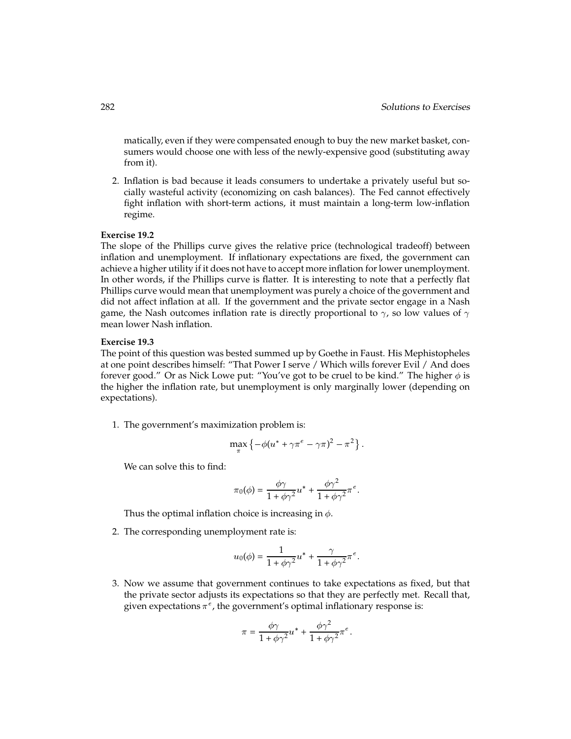matically, even if they were compensated enough to buy the new market basket, consumers would choose one with less of the newly-expensive good (substituting away from it).

2. Inflation is bad because it leads consumers to undertake a privately useful but socially wasteful activity (economizing on cash balances). The Fed cannot effectively fight inflation with short-term actions, it must maintain a long-term low-inflation regime.

### **Exercise 19.2**

The slope of the Phillips curve gives the relative price (technological tradeoff) between inflation and unemployment. If inflationary expectations are fixed, the government can achieve a higher utility if it does not have to accept more inflation for lower unemployment. In other words, if the Phillips curve is flatter. It is interesting to note that a perfectly flat Phillips curve would mean that unemployment was purely a choice of the government and did not affect inflation at all. If the government and the private sector engage in a Nash game, the Nash outcomes inflation rate is directly proportional to  $\gamma$ , so low values of  $\gamma$ mean lower Nash inflation.

### **Exercise 19.3**

The point of this question was bested summed up by Goethe in Faust. His Mephistopheles at one point describes himself: "That Power I serve / Which wills forever Evil / And does forever good." Or as Nick Lowe put: "You've got to be cruel to be kind." The higher  $\phi$  is the higher the inflation rate, but unemployment is only marginally lower (depending on expectations).

1. The government's maximization problem is:

$$
\max_{\pi} \left\{-\phi(u^* + \gamma \pi^e - \gamma \pi)^2 - \pi^2\right\}.
$$

We can solve this to find:

$$
\pi_0(\phi) = \frac{\phi \gamma}{1 + \phi \gamma^2} u^* + \frac{\phi \gamma^2}{1 + \phi \gamma^2} \pi^e.
$$

Thus the optimal inflation choice is increasing in  $\phi$ .

2. The corresponding unemployment rate is:

$$
u_0(\phi) = \frac{1}{1 + \phi \gamma^2} u^* + \frac{\gamma}{1 + \phi \gamma^2} \pi^e.
$$

3. Now we assume that government continues to take expectations as fixed, but that the private sector adjusts its expectations so that they are perfectly met. Recall that, given expectations  $\pi^e$ , the government's optimal inflationary response is:

$$
\pi = \frac{\phi \gamma}{1 + \phi \gamma^2} u^* + \frac{\phi \gamma^2}{1 + \phi \gamma^2} \pi^e.
$$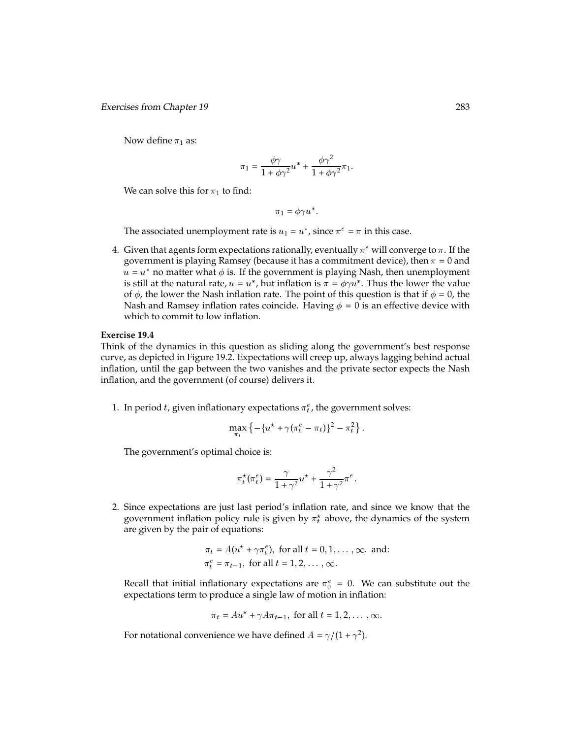Exercises from Chapter 19 283

Now define  $\pi_1$  as:

$$
\pi_1 = \frac{\phi \gamma}{1 + \phi \gamma^2} u^* + \frac{\phi \gamma^2}{1 + \phi \gamma^2} \pi_1.
$$

We can solve this for  $\pi_1$  to find:

$$
\pi_1 = \phi \gamma u^*.
$$

The associated unemployment rate is  $u_1 = u^*$ , since  $\pi^e = \pi$  in this case.

4. Given that agents form expectations rationally, eventually  $\pi^e$  will converge to  $\pi.$  If the government is playing Ramsey (because it has a commitment device), then  $\pi = 0$  and  $u = u^*$  no matter what  $\phi$  is. If the government is playing Nash, then unemployment is still at the natural rate,  $u = u^*$ , but inflation is  $\pi = \phi \gamma u^*$ . Thus the lower the value of  $\phi$ , the lower the Nash inflation rate. The point of this question is that if  $\phi = 0$ , the Nash and Ramsey inflation rates coincide. Having  $\phi = 0$  is an effective device with which to commit to low inflation.

### **Exercise 19.4**

Think of the dynamics in this question as sliding along the government's best response curve, as depicted in Figure 19.2. Expectations will creep up, always lagging behind actual inflation, until the gap between the two vanishes and the private sector expects the Nash inflation, and the government (of course) delivers it.

1. In period t, given inflationary expectations  $\pi_t^e$ , the government solves:

$$
\max_{\pi_t} \left\{-\left\{u^\star + \gamma(\pi_t^e - \pi_t)\right\}^2 - \pi_t^2\right\}.
$$

 $\cdot$ 

The government's optimal choice is:

 $\cdot$ 

$$
\pi_t^{\star}(\pi_t^e) = \frac{\gamma}{1+\gamma^2}u^{\star} + \frac{\gamma^2}{1+\gamma^2}\pi^e.
$$

2. Since expectations are just last period's inflation rate, and since we know that the government inflation policy rule is given by  $\pi^{\star}_t$  above, the dynamics of the system are given by the pair of equations:

$$
\pi_t = A(u^* + \gamma \pi_t^e), \text{ for all } t = 0, 1, \dots, \infty, \text{ and:}
$$
  

$$
\pi_t^e = \pi_{t-1}, \text{ for all } t = 1, 2, \dots, \infty.
$$

Recall that initial inflationary expectations are  $\pi_0^e$  = 0. We can substitute out the expectations term to produce a single law of motion in inflation:

$$
\pi_t = Au^* + \gamma A \pi_{t-1}, \text{ for all } t = 1, 2, \dots, \infty.
$$

For notational convenience we have defined  $A = \gamma/(1 + \gamma^2)$ .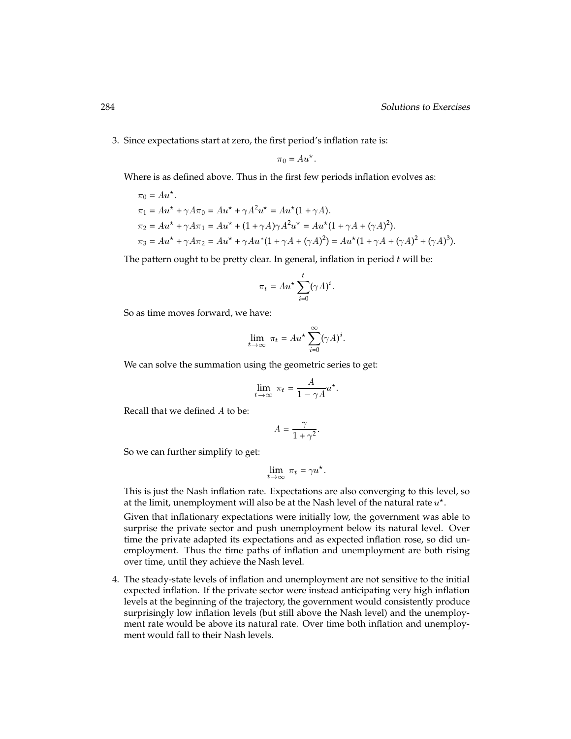3. Since expectations start at zero, the first period's inflation rate is:

$$
\pi_0 = A u^*.
$$

Where is as defined above. Thus in the first few periods inflation evolves as:

$$
\pi_0 = Au^*.
$$
  
\n
$$
\pi_1 = Au^* + \gamma A \pi_0 = Au^* + \gamma A^2 u^* = Au^*(1 + \gamma A).
$$
  
\n
$$
\pi_2 = Au^* + \gamma A \pi_1 = Au^* + (1 + \gamma A)\gamma A^2 u^* = Au^*(1 + \gamma A + (\gamma A)^2).
$$
  
\n
$$
\pi_3 = Au^* + \gamma A \pi_2 = Au^* + \gamma Au^*(1 + \gamma A + (\gamma A)^2) = Au^*(1 + \gamma A + (\gamma A)^2 + (\gamma A)^3).
$$

The pattern ought to be pretty clear. In general, inflation in period  $t$  will be:

$$
\pi_t = A u^\star \sum_{i=0}^t (\gamma A)^i.
$$

So as time moves forward, we have:

$$
\lim_{t \to \infty} \pi_t = A u^* \sum_{i=0}^{\infty} (\gamma A)^i.
$$

We can solve the summation using the geometric series to get:

$$
\lim_{t\to\infty} \pi_t = \frac{A}{1-\gamma A} u^\star.
$$

Recall that we defined A to be:

$$
A = \frac{\gamma}{1 + \gamma^2}.
$$

So we can further simplify to get:

$$
\lim_{t \to \infty} \pi_t = \gamma u^*
$$

This is just the Nash inflation rate. Expectations are also converging to this level, so at the limit, unemployment will also be at the Nash level of the natural rate  $u^\star.$ 

Given that inflationary expectations were initially low, the government was able to surprise the private sector and push unemployment below its natural level. Over time the private adapted its expectations and as expected inflation rose, so did unemployment. Thus the time paths of inflation and unemployment are both rising over time, until they achieve the Nash level.

4. The steady-state levels of inflation and unemployment are not sensitive to the initial expected inflation. If the private sector were instead anticipating very high inflation levels at the beginning of the trajectory, the government would consistently produce surprisingly low inflation levels (but still above the Nash level) and the unemployment rate would be above its natural rate. Over time both inflation and unemployment would fall to their Nash levels.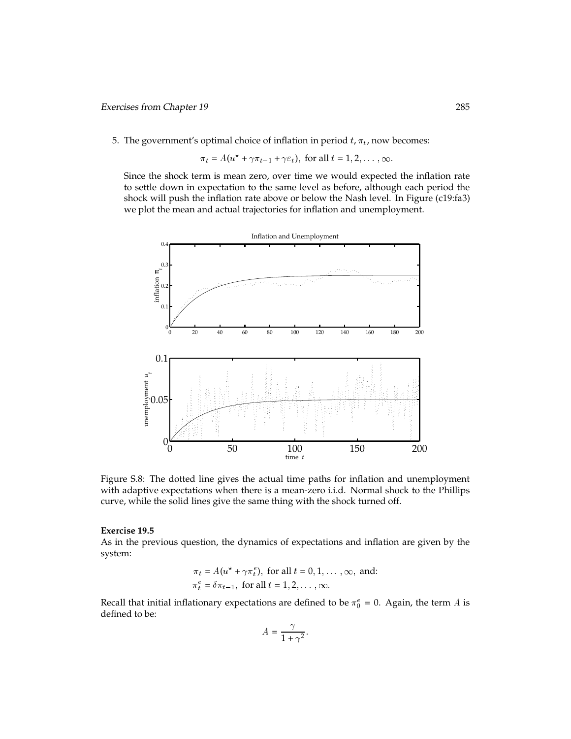5. The government's optimal choice of inflation in period  $t$ ,  $\pi_t$ , now becomes:

$$
\pi_t = A(u^* + \gamma \pi_{t-1} + \gamma \varepsilon_t), \text{ for all } t = 1, 2, \dots, \infty.
$$

Since the shock term is mean zero, over time we would expected the inflation rate to settle down in expectation to the same level as before, although each period the shock will push the inflation rate above or below the Nash level. In Figure (c19:fa3) we plot the mean and actual trajectories for inflation and unemployment.



Figure S.8: The dotted line gives the actual time paths for inflation and unemployment with adaptive expectations when there is a mean-zero i.i.d. Normal shock to the Phillips curve, while the solid lines give the same thing with the shock turned off.

### **Exercise 19.5**

t

As in the previous question, the dynamics of expectations and inflation are given by the system:

$$
\pi_t = A(u^* + \gamma \pi_t^e), \text{ for all } t = 0, 1, \dots, \infty, \text{ and:}
$$
  

$$
\pi_t^e = \delta \pi_{t-1}, \text{ for all } t = 1, 2, \dots, \infty.
$$

Recall that initial inflationary expectations are defined to be  $\pi_0^e$  = 0. Again, the term  $A$  is defined to be:

$$
A = \frac{\gamma}{1 + \gamma^2}.
$$